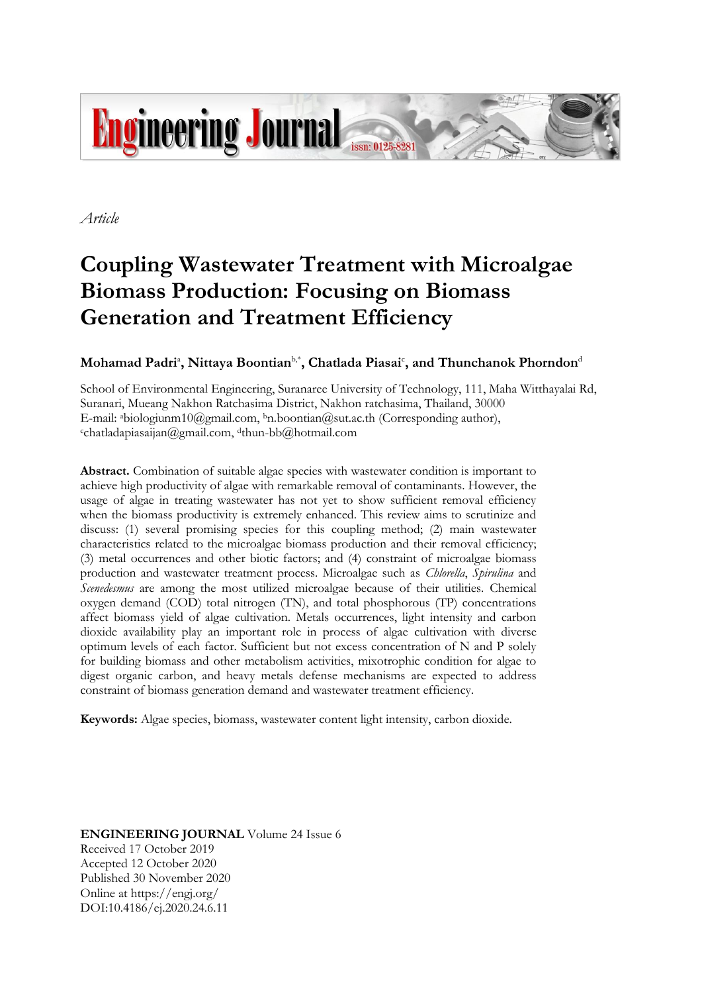

*Article*

# **Coupling Wastewater Treatment with Microalgae Biomass Production: Focusing on Biomass Generation and Treatment Efficiency**

# $\mathbf{M}$ ohamad Padri $^{\mathrm{a}}$ , Nittaya Boontian $^{\mathrm{b},\ast}$ , Chatlada Piasai $^{\mathrm{c}}$ , and Thunchanok Phorndon $^{\mathrm{d}}$

School of Environmental Engineering, Suranaree University of Technology, 111, Maha Witthayalai Rd, Suranari, Mueang Nakhon Ratchasima District, Nakhon ratchasima, Thailand, 30000 E-mail: abiologiunm10@gmail.com, <sup>b</sup>n.boontian@sut.ac.th (Corresponding author),  $\text{c}$ chatladapiasaijan@gmail.com, dthun-bb@hotmail.com

**Abstract.** Combination of suitable algae species with wastewater condition is important to achieve high productivity of algae with remarkable removal of contaminants. However, the usage of algae in treating wastewater has not yet to show sufficient removal efficiency when the biomass productivity is extremely enhanced. This review aims to scrutinize and discuss: (1) several promising species for this coupling method; (2) main wastewater characteristics related to the microalgae biomass production and their removal efficiency; (3) metal occurrences and other biotic factors; and (4) constraint of microalgae biomass production and wastewater treatment process. Microalgae such as *Chlorella*, *Spirulina* and *Scenedesmus* are among the most utilized microalgae because of their utilities. Chemical oxygen demand (COD) total nitrogen (TN), and total phosphorous (TP) concentrations affect biomass yield of algae cultivation. Metals occurrences, light intensity and carbon dioxide availability play an important role in process of algae cultivation with diverse optimum levels of each factor. Sufficient but not excess concentration of N and P solely for building biomass and other metabolism activities, mixotrophic condition for algae to digest organic carbon, and heavy metals defense mechanisms are expected to address constraint of biomass generation demand and wastewater treatment efficiency.

**Keywords:** Algae species, biomass, wastewater content light intensity, carbon dioxide.

**ENGINEERING JOURNAL** Volume 24 Issue 6 Received 17 October 2019 Accepted 12 October 2020 Published 30 November 2020 Online at https://engj.org/ DOI:10.4186/ej.2020.24.6.11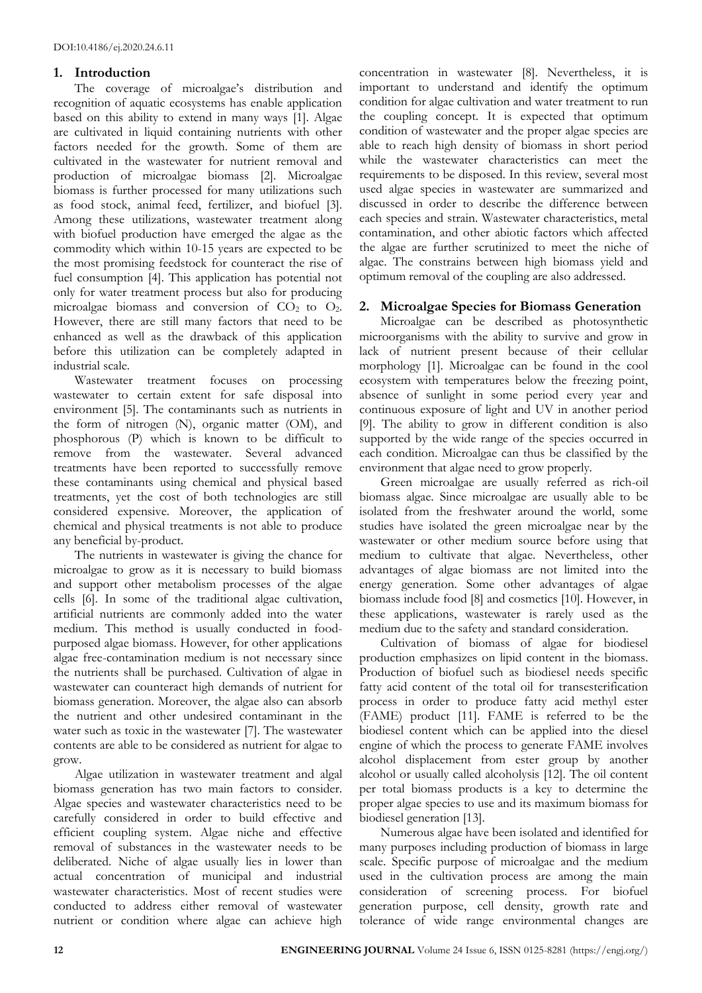# **1. Introduction**

The coverage of microalgae's distribution and recognition of aquatic ecosystems has enable application based on this ability to extend in many ways [1]. Algae are cultivated in liquid containing nutrients with other factors needed for the growth. Some of them are cultivated in the wastewater for nutrient removal and production of microalgae biomass [2]. Microalgae biomass is further processed for many utilizations such as food stock, animal feed, fertilizer, and biofuel [3]. Among these utilizations, wastewater treatment along with biofuel production have emerged the algae as the commodity which within 10-15 years are expected to be the most promising feedstock for counteract the rise of fuel consumption [4]. This application has potential not only for water treatment process but also for producing microalgae biomass and conversion of  $CO<sub>2</sub>$  to  $O<sub>2</sub>$ . However, there are still many factors that need to be enhanced as well as the drawback of this application before this utilization can be completely adapted in industrial scale.

Wastewater treatment focuses on processing wastewater to certain extent for safe disposal into environment [5]. The contaminants such as nutrients in the form of nitrogen (N), organic matter (OM), and phosphorous (P) which is known to be difficult to remove from the wastewater. Several advanced treatments have been reported to successfully remove these contaminants using chemical and physical based treatments, yet the cost of both technologies are still considered expensive. Moreover, the application of chemical and physical treatments is not able to produce any beneficial by-product.

The nutrients in wastewater is giving the chance for microalgae to grow as it is necessary to build biomass and support other metabolism processes of the algae cells [6]. In some of the traditional algae cultivation, artificial nutrients are commonly added into the water medium. This method is usually conducted in foodpurposed algae biomass. However, for other applications algae free-contamination medium is not necessary since the nutrients shall be purchased. Cultivation of algae in wastewater can counteract high demands of nutrient for biomass generation. Moreover, the algae also can absorb the nutrient and other undesired contaminant in the water such as toxic in the wastewater [7]. The wastewater contents are able to be considered as nutrient for algae to grow.

Algae utilization in wastewater treatment and algal biomass generation has two main factors to consider. Algae species and wastewater characteristics need to be carefully considered in order to build effective and efficient coupling system. Algae niche and effective removal of substances in the wastewater needs to be deliberated. Niche of algae usually lies in lower than actual concentration of municipal and industrial wastewater characteristics. Most of recent studies were conducted to address either removal of wastewater nutrient or condition where algae can achieve high

concentration in wastewater [8]. Nevertheless, it is important to understand and identify the optimum condition for algae cultivation and water treatment to run the coupling concept. It is expected that optimum condition of wastewater and the proper algae species are able to reach high density of biomass in short period while the wastewater characteristics can meet the requirements to be disposed. In this review, several most used algae species in wastewater are summarized and discussed in order to describe the difference between each species and strain. Wastewater characteristics, metal contamination, and other abiotic factors which affected the algae are further scrutinized to meet the niche of algae. The constrains between high biomass yield and optimum removal of the coupling are also addressed.

# **2. Microalgae Species for Biomass Generation**

Microalgae can be described as photosynthetic microorganisms with the ability to survive and grow in lack of nutrient present because of their cellular morphology [1]. Microalgae can be found in the cool ecosystem with temperatures below the freezing point, absence of sunlight in some period every year and continuous exposure of light and UV in another period [9]. The ability to grow in different condition is also supported by the wide range of the species occurred in each condition. Microalgae can thus be classified by the environment that algae need to grow properly.

Green microalgae are usually referred as rich-oil biomass algae. Since microalgae are usually able to be isolated from the freshwater around the world, some studies have isolated the green microalgae near by the wastewater or other medium source before using that medium to cultivate that algae. Nevertheless, other advantages of algae biomass are not limited into the energy generation. Some other advantages of algae biomass include food [8] and cosmetics [10]. However, in these applications, wastewater is rarely used as the medium due to the safety and standard consideration.

Cultivation of biomass of algae for biodiesel production emphasizes on lipid content in the biomass. Production of biofuel such as biodiesel needs specific fatty acid content of the total oil for transesterification process in order to produce fatty acid methyl ester (FAME) product [11]. FAME is referred to be the biodiesel content which can be applied into the diesel engine of which the process to generate FAME involves alcohol displacement from ester group by another alcohol or usually called alcoholysis [12]. The oil content per total biomass products is a key to determine the proper algae species to use and its maximum biomass for biodiesel generation [13].

Numerous algae have been isolated and identified for many purposes including production of biomass in large scale. Specific purpose of microalgae and the medium used in the cultivation process are among the main consideration of screening process. For biofuel generation purpose, cell density, growth rate and tolerance of wide range environmental changes are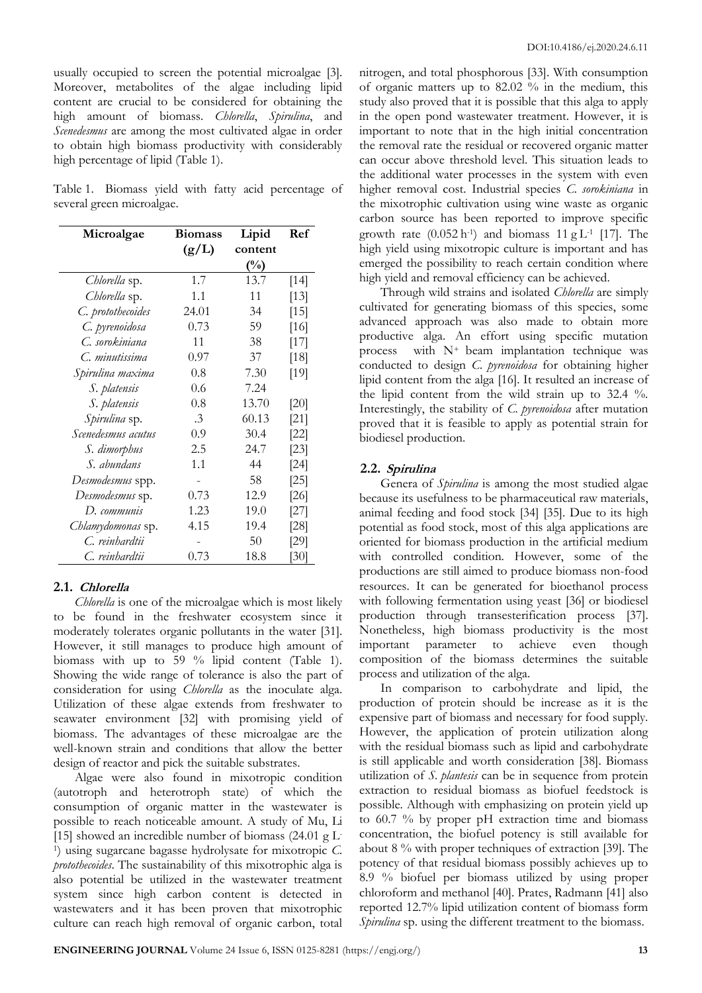usually occupied to screen the potential microalgae [3]. Moreover, metabolites of the algae including lipid content are crucial to be considered for obtaining the high amount of biomass. *Chlorella*, *Spirulina*, and *Scenedesmus* are among the most cultivated algae in order to obtain high biomass productivity with considerably high percentage of lipid (Table 1).

Table 1. Biomass yield with fatty acid percentage of several green microalgae.

| Microalgae         | <b>Biomass</b> | Lipid   | Ref    |
|--------------------|----------------|---------|--------|
|                    | (g/L)          | content |        |
|                    |                | $(\%)$  |        |
| Chlorella sp.      | 1.7            | 13.7    | $[14]$ |
| Chlorella sp.      | 1.1            | 11      | $[13]$ |
| C. protothecoides  | 24.01          | 34      | $[15]$ |
| C. pyrenoidosa     | 0.73           | 59      | [16]   |
| C. sorokiniana     | 11             | 38      | $[17]$ |
| C. minutissima     | 0.97           | 37      | $[18]$ |
| Spirulina maxima   | 0.8            | 7.30    | [19]   |
| S. platensis       | 0.6            | 7.24    |        |
| S. platensis       | 0.8            | 13.70   | [20]   |
| Spirulina sp.      | $\cdot$ 3      | 60.13   | $[21]$ |
| Scenedesmus acutus | 0.9            | 30.4    | $[22]$ |
| S. dimorphus       | 2.5            | 24.7    | [23]   |
| S. abundans        | 1.1            | 44      | [24]   |
| Desmodesmus spp.   |                | 58      | $[25]$ |
| Desmodesmus sp.    | 0.73           | 12.9    | [26]   |
| D. communis        | 1.23           | 19.0    | [27]   |
| Chlamydomonas sp.  | 4.15           | 19.4    | [28]   |
| C. reinhardtii     |                | 50      | [29]   |
| C. reinhardtii     | 0.73           | 18.8    | [30]   |

### **2.1. Chlorella**

*Chlorella* is one of the microalgae which is most likely to be found in the freshwater ecosystem since it moderately tolerates organic pollutants in the water [31]. However, it still manages to produce high amount of biomass with up to 59 % lipid content (Table 1). Showing the wide range of tolerance is also the part of consideration for using *Chlorella* as the inoculate alga. Utilization of these algae extends from freshwater to seawater environment [32] with promising yield of biomass. The advantages of these microalgae are the well-known strain and conditions that allow the better design of reactor and pick the suitable substrates.

Algae were also found in mixotropic condition (autotroph and heterotroph state) of which the consumption of organic matter in the wastewater is possible to reach noticeable amount. A study of Mu, Li [15] showed an incredible number of biomass  $(24.01 \text{ g L}^{-1})$ 1 ) using sugarcane bagasse hydrolysate for mixotropic *C. protothecoides*. The sustainability of this mixotrophic alga is also potential be utilized in the wastewater treatment system since high carbon content is detected in wastewaters and it has been proven that mixotrophic culture can reach high removal of organic carbon, total nitrogen, and total phosphorous [33]. With consumption of organic matters up to 82.02 % in the medium, this study also proved that it is possible that this alga to apply in the open pond wastewater treatment. However, it is important to note that in the high initial concentration the removal rate the residual or recovered organic matter can occur above threshold level. This situation leads to the additional water processes in the system with even higher removal cost. Industrial species *C. sorokiniana* in the mixotrophic cultivation using wine waste as organic carbon source has been reported to improve specific growth rate  $(0.052 \text{ h}^{-1})$  and biomass 11 g L<sup>-1</sup> [17]. The high yield using mixotropic culture is important and has emerged the possibility to reach certain condition where high yield and removal efficiency can be achieved.

Through wild strains and isolated *Chlorella* are simply cultivated for generating biomass of this species, some advanced approach was also made to obtain more productive alga. An effort using specific mutation process with  $N^+$  beam implantation technique was conducted to design *C. pyrenoidosa* for obtaining higher lipid content from the alga [16]. It resulted an increase of the lipid content from the wild strain up to 32.4 %. Interestingly, the stability of *C. pyrenoidosa* after mutation proved that it is feasible to apply as potential strain for biodiesel production.

### **2.2. Spirulina**

Genera of *Spirulina* is among the most studied algae because its usefulness to be pharmaceutical raw materials, animal feeding and food stock [34] [35]. Due to its high potential as food stock, most of this alga applications are oriented for biomass production in the artificial medium with controlled condition. However, some of the productions are still aimed to produce biomass non-food resources. It can be generated for bioethanol process with following fermentation using yeast [36] or biodiesel production through transesterification process [37]. Nonetheless, high biomass productivity is the most important parameter to achieve even though composition of the biomass determines the suitable process and utilization of the alga.

In comparison to carbohydrate and lipid, the production of protein should be increase as it is the expensive part of biomass and necessary for food supply. However, the application of protein utilization along with the residual biomass such as lipid and carbohydrate is still applicable and worth consideration [38]. Biomass utilization of *S. plantesis* can be in sequence from protein extraction to residual biomass as biofuel feedstock is possible. Although with emphasizing on protein yield up to 60.7 % by proper pH extraction time and biomass concentration, the biofuel potency is still available for about 8 % with proper techniques of extraction [39]. The potency of that residual biomass possibly achieves up to 8.9 % biofuel per biomass utilized by using proper chloroform and methanol [40]. Prates, Radmann [41] also reported 12.7% lipid utilization content of biomass form *Spirulina* sp. using the different treatment to the biomass.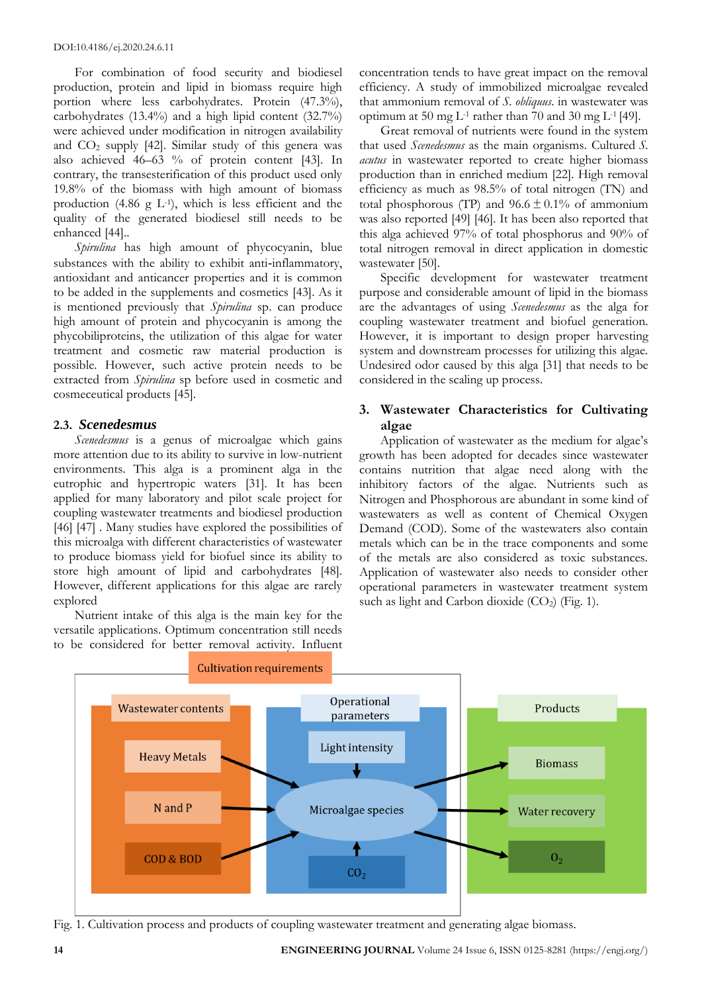For combination of food security and biodiesel production, protein and lipid in biomass require high portion where less carbohydrates. Protein (47.3%), carbohydrates (13.4%) and a high lipid content (32.7%) were achieved under modification in nitrogen availability and  $CO<sub>2</sub>$  supply [42]. Similar study of this genera was also achieved 46–63 % of protein content [43]. In contrary, the transesterification of this product used only 19.8% of the biomass with high amount of biomass production  $(4.86 \text{ g L}^{-1})$ , which is less efficient and the quality of the generated biodiesel still needs to be enhanced [44]..

*Spirulina* has high amount of phycocyanin, blue substances with the ability to exhibit anti-inflammatory, antioxidant and anticancer properties and it is common to be added in the supplements and cosmetics [43]. As it is mentioned previously that *Spirulina* sp. can produce high amount of protein and phycocyanin is among the phycobiliproteins, the utilization of this algae for water treatment and cosmetic raw material production is possible. However, such active protein needs to be extracted from *Spirulina* sp before used in cosmetic and cosmeceutical products [45].

# **2.3.** *Scenedesmus*

*Scenedesmus* is a genus of microalgae which gains more attention due to its ability to survive in low-nutrient environments. This alga is a prominent alga in the eutrophic and hypertropic waters [31]. It has been applied for many laboratory and pilot scale project for coupling wastewater treatments and biodiesel production [46] [47] . Many studies have explored the possibilities of this microalga with different characteristics of wastewater to produce biomass yield for biofuel since its ability to store high amount of lipid and carbohydrates [48]. However, different applications for this algae are rarely explored

Nutrient intake of this alga is the main key for the versatile applications. Optimum concentration still needs to be considered for better removal activity. Influent concentration tends to have great impact on the removal efficiency. A study of immobilized microalgae revealed that ammonium removal of *S. obliquus*. in wastewater was optimum at 50 mg  $L<sup>-1</sup>$  rather than 70 and 30 mg  $L<sup>-1</sup>$  [49].

Great removal of nutrients were found in the system that used *Scenedesmus* as the main organisms. Cultured *S. acutus* in wastewater reported to create higher biomass production than in enriched medium [22]. High removal efficiency as much as 98.5% of total nitrogen (TN) and total phosphorous (TP) and  $96.6 \pm 0.1\%$  of ammonium was also reported [49] [46]. It has been also reported that this alga achieved 97% of total phosphorus and 90% of total nitrogen removal in direct application in domestic wastewater [50].

Specific development for wastewater treatment purpose and considerable amount of lipid in the biomass are the advantages of using *Scenedesmus* as the alga for coupling wastewater treatment and biofuel generation. However, it is important to design proper harvesting system and downstream processes for utilizing this algae. Undesired odor caused by this alga [31] that needs to be considered in the scaling up process.

# **3. Wastewater Characteristics for Cultivating algae**

Application of wastewater as the medium for algae's growth has been adopted for decades since wastewater contains nutrition that algae need along with the inhibitory factors of the algae. Nutrients such as Nitrogen and Phosphorous are abundant in some kind of wastewaters as well as content of Chemical Oxygen Demand (COD). Some of the wastewaters also contain metals which can be in the trace components and some of the metals are also considered as toxic substances. Application of wastewater also needs to consider other operational parameters in wastewater treatment system such as light and Carbon dioxide  $(CO_2)$  (Fig. 1).



Fig. 1. Cultivation process and products of coupling wastewater treatment and generating algae biomass.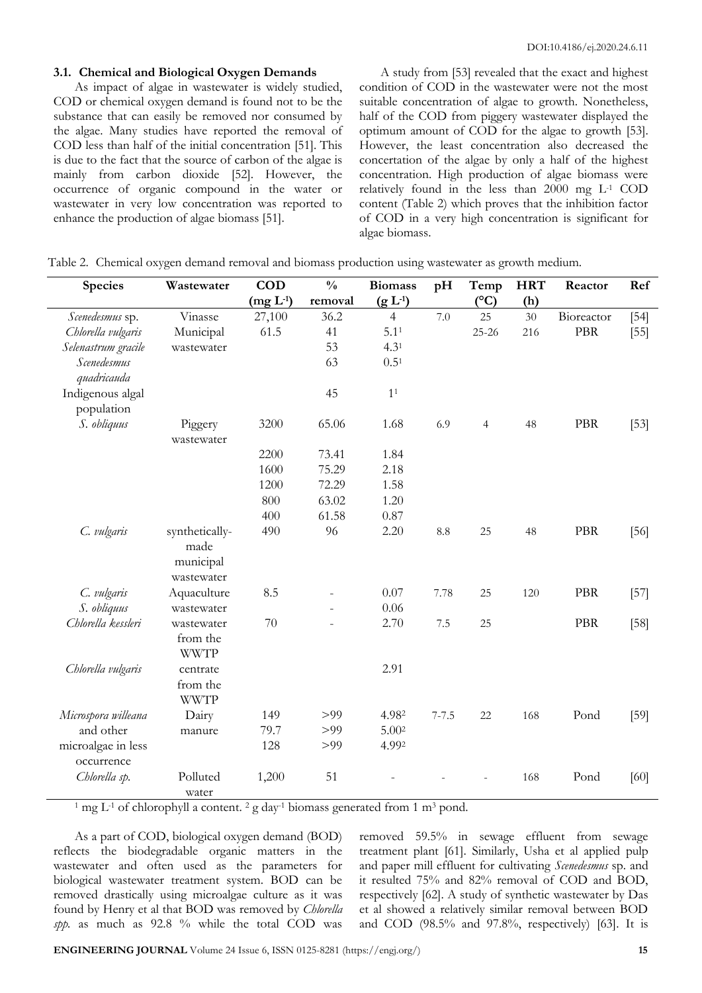### **3.1. Chemical and Biological Oxygen Demands**

As impact of algae in wastewater is widely studied, COD or chemical oxygen demand is found not to be the substance that can easily be removed nor consumed by the algae. Many studies have reported the removal of COD less than half of the initial concentration [51]. This is due to the fact that the source of carbon of the algae is mainly from carbon dioxide [52]. However, the occurrence of organic compound in the water or wastewater in very low concentration was reported to enhance the production of algae biomass [51].

A study from [53] revealed that the exact and highest condition of COD in the wastewater were not the most suitable concentration of algae to growth. Nonetheless, half of the COD from piggery wastewater displayed the optimum amount of COD for the algae to growth [53]. However, the least concentration also decreased the concertation of the algae by only a half of the highest concentration. High production of algae biomass were relatively found in the less than 2000 mg L-1 COD content (Table 2) which proves that the inhibition factor of COD in a very high concentration is significant for algae biomass.

| <b>Species</b>                   | Wastewater                                        | <b>COD</b> | $\frac{0}{0}$ | <b>Biomass</b>      | pH         | Temp            | <b>HRT</b> | Reactor    | Ref    |
|----------------------------------|---------------------------------------------------|------------|---------------|---------------------|------------|-----------------|------------|------------|--------|
|                                  |                                                   | $(mg L-1)$ | removal       | (g L <sup>1</sup> ) |            | $({}^{\circ}C)$ | (h)        |            |        |
| Scenedesmus sp.                  | Vinasse                                           | 27,100     | 36.2          | $\overline{4}$      | 7.0        | 25              | 30         | Bioreactor | $[54]$ |
| Chlorella vulgaris               | Municipal                                         | 61.5       | 41            | 5.1 <sup>1</sup>    |            | 25-26           | 216        | PBR        | $[55]$ |
| Selenastrum gracile              | wastewater                                        |            | 53            | 4.3 <sup>1</sup>    |            |                 |            |            |        |
| Scenedesmus<br>quadricauda       |                                                   |            | 63            | $0.5^{1}$           |            |                 |            |            |        |
| Indigenous algal<br>population   |                                                   |            | 45            | 1 <sup>1</sup>      |            |                 |            |            |        |
| S. obliquus                      | Piggery                                           | 3200       | 65.06         | 1.68                | 6.9        | $\overline{4}$  | 48         | PBR        | $[53]$ |
|                                  | wastewater                                        |            |               |                     |            |                 |            |            |        |
|                                  |                                                   | 2200       | 73.41         | 1.84                |            |                 |            |            |        |
|                                  |                                                   | 1600       | 75.29         | 2.18                |            |                 |            |            |        |
|                                  |                                                   | 1200       | 72.29         | 1.58                |            |                 |            |            |        |
|                                  |                                                   | 800        | 63.02         | 1.20                |            |                 |            |            |        |
|                                  |                                                   | 400        | 61.58         | 0.87                |            |                 |            |            |        |
| C. vulgaris                      | synthetically-<br>made<br>municipal<br>wastewater | 490        | 96            | 2.20                | $\ \, 8.8$ | 25              | 48         | PBR        | $[56]$ |
| C. vulgaris                      | Aquaculture                                       | 8.5        |               | 0.07                | 7.78       | 25              | 120        | PBR        | $[57]$ |
| S. obliquus                      | wastewater                                        |            |               | 0.06                |            |                 |            |            |        |
| Chlorella kessleri               | wastewater<br>from the<br><b>WWTP</b>             | 70         |               | 2.70                | 7.5        | 25              |            | PBR        | $[58]$ |
| Chlorella vulgaris               | centrate<br>from the<br><b>WWTP</b>               |            |               | 2.91                |            |                 |            |            |        |
| Microspora willeana              | Dairy                                             | 149        | >99           | 4.982               | $7 - 7.5$  | 22              | 168        | Pond       | [59]   |
| and other                        | manure                                            | 79.7       | >99           | 5.002               |            |                 |            |            |        |
| microalgae in less<br>occurrence |                                                   | 128        | >99           | 4.992               |            |                 |            |            |        |
| Chlorella sp.                    | Polluted<br>water                                 | 1,200      | 51            |                     |            |                 | 168        | Pond       | [60]   |

Table 2. Chemical oxygen demand removal and biomass production using wastewater as growth medium.

<sup>1</sup> mg L<sup>-1</sup> of chlorophyll a content. <sup>2</sup> g day<sup>-1</sup> biomass generated from 1 m<sup>3</sup> pond.

As a part of COD, biological oxygen demand (BOD) reflects the biodegradable organic matters in the wastewater and often used as the parameters for biological wastewater treatment system. BOD can be removed drastically using microalgae culture as it was found by Henry et al that BOD was removed by *Chlorella spp.* as much as 92.8 % while the total COD was removed 59.5% in sewage effluent from sewage treatment plant [61]. Similarly, Usha et al applied pulp and paper mill effluent for cultivating *Scenedesmus* sp. and it resulted 75% and 82% removal of COD and BOD, respectively [62]. A study of synthetic wastewater by Das et al showed a relatively similar removal between BOD and COD (98.5% and 97.8%, respectively) [63]. It is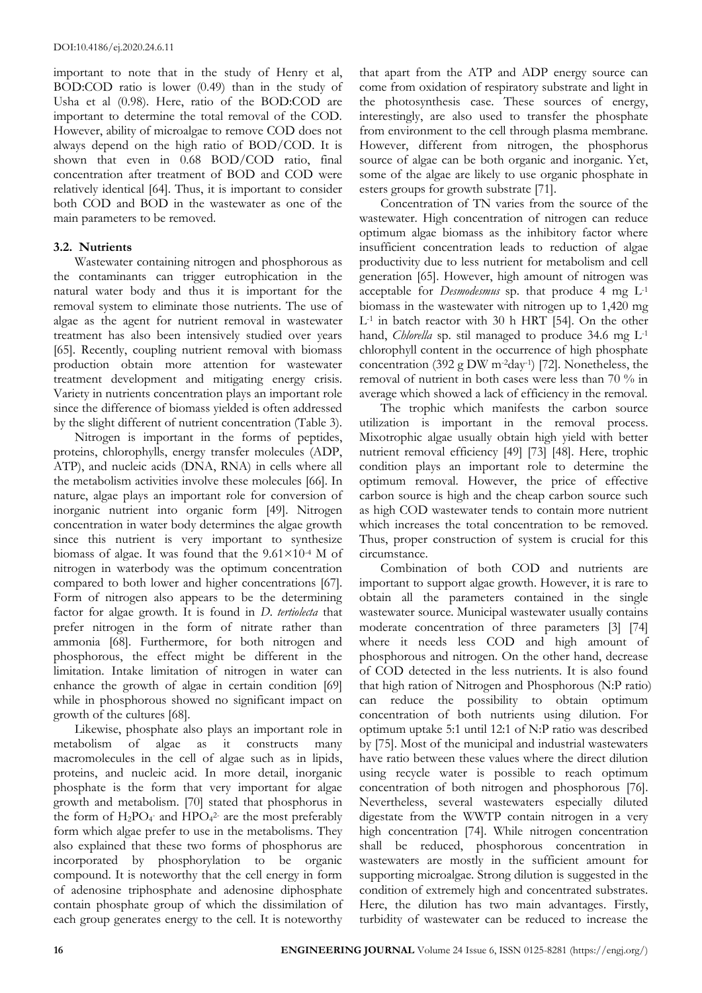important to note that in the study of Henry et al, BOD:COD ratio is lower (0.49) than in the study of Usha et al (0.98). Here, ratio of the BOD:COD are important to determine the total removal of the COD. However, ability of microalgae to remove COD does not always depend on the high ratio of BOD/COD. It is shown that even in 0.68 BOD/COD ratio, final concentration after treatment of BOD and COD were relatively identical [64]. Thus, it is important to consider both COD and BOD in the wastewater as one of the main parameters to be removed.

# **3.2. Nutrients**

Wastewater containing nitrogen and phosphorous as the contaminants can trigger eutrophication in the natural water body and thus it is important for the removal system to eliminate those nutrients. The use of algae as the agent for nutrient removal in wastewater treatment has also been intensively studied over years [65]. Recently, coupling nutrient removal with biomass production obtain more attention for wastewater treatment development and mitigating energy crisis. Variety in nutrients concentration plays an important role since the difference of biomass yielded is often addressed by the slight different of nutrient concentration (Table 3).

Nitrogen is important in the forms of peptides, proteins, chlorophylls, energy transfer molecules (ADP, ATP), and nucleic acids (DNA, RNA) in cells where all the metabolism activities involve these molecules [66]. In nature, algae plays an important role for conversion of inorganic nutrient into organic form [49]. Nitrogen concentration in water body determines the algae growth since this nutrient is very important to synthesize biomass of algae. It was found that the  $9.61\times10^{-4}$  M of nitrogen in waterbody was the optimum concentration compared to both lower and higher concentrations [67]. Form of nitrogen also appears to be the determining factor for algae growth. It is found in *D. tertiolecta* that prefer nitrogen in the form of nitrate rather than ammonia [68]. Furthermore, for both nitrogen and phosphorous, the effect might be different in the limitation. Intake limitation of nitrogen in water can enhance the growth of algae in certain condition [69] while in phosphorous showed no significant impact on growth of the cultures [68].

Likewise, phosphate also plays an important role in metabolism of algae as it constructs many macromolecules in the cell of algae such as in lipids, proteins, and nucleic acid. In more detail, inorganic phosphate is the form that very important for algae growth and metabolism. [70] stated that phosphorus in the form of  $H_2PO_4$  and  $HPO_4$ <sup>2</sup> are the most preferably form which algae prefer to use in the metabolisms. They also explained that these two forms of phosphorus are incorporated by phosphorylation to be organic compound. It is noteworthy that the cell energy in form of adenosine triphosphate and adenosine diphosphate contain phosphate group of which the dissimilation of each group generates energy to the cell. It is noteworthy

that apart from the ATP and ADP energy source can come from oxidation of respiratory substrate and light in the photosynthesis case. These sources of energy, interestingly, are also used to transfer the phosphate from environment to the cell through plasma membrane. However, different from nitrogen, the phosphorus source of algae can be both organic and inorganic. Yet, some of the algae are likely to use organic phosphate in esters groups for growth substrate [71].

Concentration of TN varies from the source of the wastewater. High concentration of nitrogen can reduce optimum algae biomass as the inhibitory factor where insufficient concentration leads to reduction of algae productivity due to less nutrient for metabolism and cell generation [65]. However, high amount of nitrogen was acceptable for *Desmodesmus* sp. that produce 4 mg L-1 biomass in the wastewater with nitrogen up to 1,420 mg L-1 in batch reactor with 30 h HRT [54]. On the other hand, *Chlorella* sp. stil managed to produce 34.6 mg L-1 chlorophyll content in the occurrence of high phosphate concentration (392 g DW m-2day-1 ) [72]. Nonetheless, the removal of nutrient in both cases were less than 70 % in average which showed a lack of efficiency in the removal.

The trophic which manifests the carbon source utilization is important in the removal process. Mixotrophic algae usually obtain high yield with better nutrient removal efficiency [49] [73] [48]. Here, trophic condition plays an important role to determine the optimum removal. However, the price of effective carbon source is high and the cheap carbon source such as high COD wastewater tends to contain more nutrient which increases the total concentration to be removed. Thus, proper construction of system is crucial for this circumstance.

Combination of both COD and nutrients are important to support algae growth. However, it is rare to obtain all the parameters contained in the single wastewater source. Municipal wastewater usually contains moderate concentration of three parameters [3] [74] where it needs less COD and high amount of phosphorous and nitrogen. On the other hand, decrease of COD detected in the less nutrients. It is also found that high ration of Nitrogen and Phosphorous (N:P ratio) can reduce the possibility to obtain optimum concentration of both nutrients using dilution. For optimum uptake 5:1 until 12:1 of N:P ratio was described by [75]. Most of the municipal and industrial wastewaters have ratio between these values where the direct dilution using recycle water is possible to reach optimum concentration of both nitrogen and phosphorous [76]. Nevertheless, several wastewaters especially diluted digestate from the WWTP contain nitrogen in a very high concentration [74]. While nitrogen concentration shall be reduced, phosphorous concentration in wastewaters are mostly in the sufficient amount for supporting microalgae. Strong dilution is suggested in the condition of extremely high and concentrated substrates. Here, the dilution has two main advantages. Firstly, turbidity of wastewater can be reduced to increase the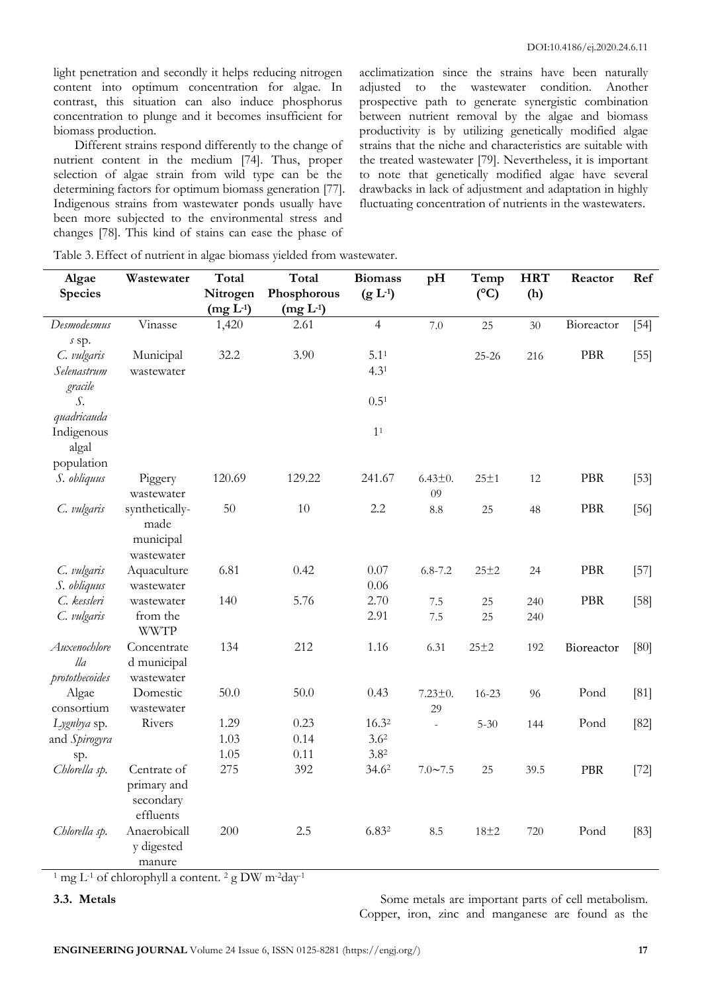light penetration and secondly it helps reducing nitrogen content into optimum concentration for algae. In contrast, this situation can also induce phosphorus concentration to plunge and it becomes insufficient for biomass production.

Different strains respond differently to the change of nutrient content in the medium [74]. Thus, proper selection of algae strain from wild type can be the determining factors for optimum biomass generation [77]. Indigenous strains from wastewater ponds usually have been more subjected to the environmental stress and changes [78]. This kind of stains can ease the phase of

acclimatization since the strains have been naturally adjusted to the wastewater condition. Another prospective path to generate synergistic combination between nutrient removal by the algae and biomass productivity is by utilizing genetically modified algae strains that the niche and characteristics are suitable with the treated wastewater [79]. Nevertheless, it is important to note that genetically modified algae have several drawbacks in lack of adjustment and adaptation in highly fluctuating concentration of nutrients in the wastewaters.

| Algae<br>Species                      | Wastewater                                           | Total<br>Nitrogen<br>$(mg L-1)$ | Total<br>Phosphorous<br>$(mg L-1)$ | <b>Biomass</b><br>$(g L-1)$   | pH                  | Temp<br>$(^{\circ}C)$ | <b>HRT</b><br>(h) | Reactor    | Ref    |
|---------------------------------------|------------------------------------------------------|---------------------------------|------------------------------------|-------------------------------|---------------------|-----------------------|-------------------|------------|--------|
| Desmodesmus                           | Vinasse                                              | 1,420                           | 2.61                               | $\overline{4}$                | 7.0                 | 25                    | 30                | Bioreactor | $[54]$ |
| s sp.<br>C. vulgaris<br>Selenastrum   | Municipal<br>wastewater                              | 32.2                            | 3.90                               | 5.1 <sup>1</sup><br>$4.3^{1}$ |                     | $25 - 26$             | 216               | <b>PBR</b> | $[55]$ |
| gracile<br>S.                         |                                                      |                                 |                                    | $0.5^{1}$                     |                     |                       |                   |            |        |
| quadricauda                           |                                                      |                                 |                                    |                               |                     |                       |                   |            |        |
| Indigenous<br>algal                   |                                                      |                                 |                                    | 1 <sup>1</sup>                |                     |                       |                   |            |        |
| population                            |                                                      |                                 |                                    |                               |                     |                       |                   |            |        |
| S. obliquus                           | Piggery<br>wastewater                                | 120.69                          | 129.22                             | 241.67                        | $6.43 \pm 0.$<br>09 | $25 \pm 1$            | 12                | <b>PBR</b> | $[53]$ |
| C. vulgaris                           | synthetically-<br>made<br>municipal<br>wastewater    | 50                              | 10                                 | 2.2                           | $\!\!\!\!\!8.8$     | 25                    | 48                | <b>PBR</b> | $[56]$ |
| C. vulgaris                           | Aquaculture                                          | 6.81                            | 0.42                               | 0.07                          | $6.8 - 7.2$         | $25 + 2$              | 24                | <b>PBR</b> | $[57]$ |
| S. obliquus                           | wastewater                                           |                                 |                                    | 0.06                          |                     |                       |                   |            |        |
| C. kessleri                           | wastewater                                           | 140                             | 5.76                               | 2.70                          | 7.5                 | 25                    | 240               | <b>PBR</b> | $[58]$ |
| C. vulgaris                           | from the<br><b>WWTP</b>                              |                                 |                                    | 2.91                          | 7.5                 | 25                    | 240               |            |        |
| Auxenochlore<br>lla<br>protothecoides | Concentrate<br>d municipal<br>wastewater             | 134                             | 212                                | 1.16                          | 6.31                | 25±2                  | 192               | Bioreactor | [80]   |
| Algae                                 | Domestic                                             | 50.0                            | 50.0                               | 0.43                          | $7.23 \pm 0.$       | $16 - 23$             | 96                | Pond       | [81]   |
| consortium                            | wastewater                                           |                                 |                                    |                               | 29                  |                       |                   |            |        |
| Lygnbya sp.                           | Rivers                                               | 1.29                            | 0.23                               | 16.32                         | $\bar{a}$           | $5 - 30$              | 144               | Pond       | $[82]$ |
| and Spirogyra                         |                                                      | 1.03                            | 0.14                               | 3.6 <sup>2</sup>              |                     |                       |                   |            |        |
| sp.                                   |                                                      | 1.05                            | 0.11                               | 3.8 <sup>2</sup>              |                     |                       |                   |            |        |
| Chlorella sp.                         | Centrate of<br>primary and<br>secondary<br>effluents | 275                             | 392                                | 34.62                         | $7.0 - 7.5$         | 25                    | 39.5              | PBR        | $[72]$ |
| Chlorella sp.                         | Anaerobicall<br>y digested<br>manure                 | 200                             | 2.5                                | 6.832                         | 8.5                 | $18\pm 2$             | 720               | Pond       | $[83]$ |

Table 3.Effect of nutrient in algae biomass yielded from wastewater.

<sup>1</sup> mg L<sup>-1</sup> of chlorophyll a content. <sup>2</sup> g DW m<sup>-2</sup>day<sup>-1</sup>

**3.3.** Metals **Some metals** are important parts of cell metabolism. Copper, iron, zinc and manganese are found as the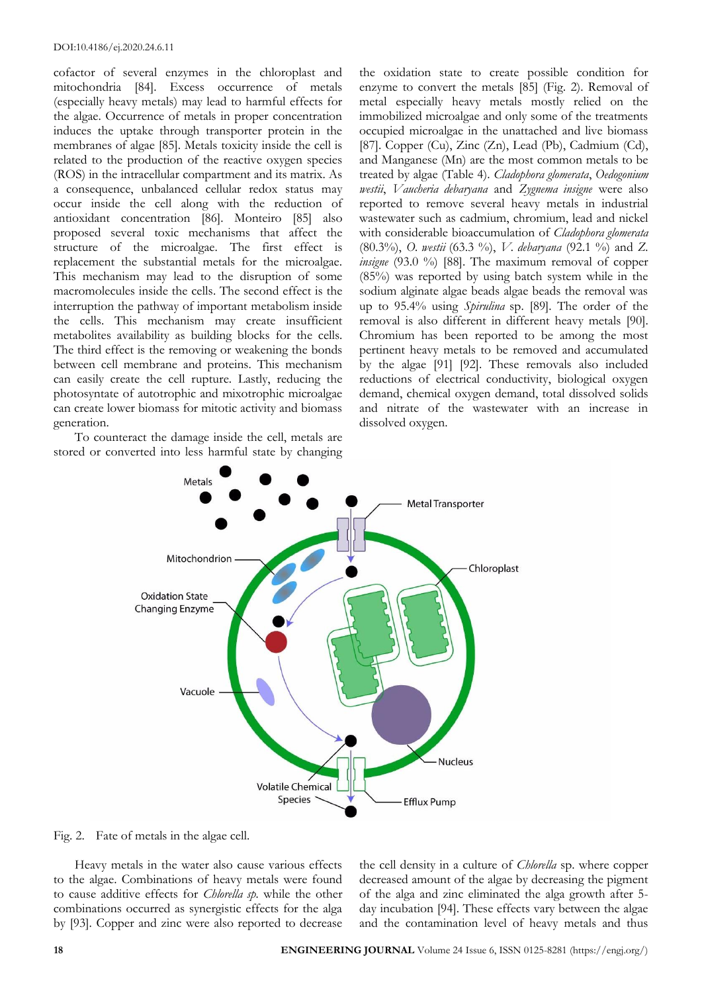cofactor of several enzymes in the chloroplast and mitochondria [84]. Excess occurrence of metals (especially heavy metals) may lead to harmful effects for the algae. Occurrence of metals in proper concentration induces the uptake through transporter protein in the membranes of algae [85]. Metals toxicity inside the cell is related to the production of the reactive oxygen species (ROS) in the intracellular compartment and its matrix. As a consequence, unbalanced cellular redox status may occur inside the cell along with the reduction of antioxidant concentration [86]. Monteiro [85] also proposed several toxic mechanisms that affect the structure of the microalgae. The first effect is replacement the substantial metals for the microalgae. This mechanism may lead to the disruption of some macromolecules inside the cells. The second effect is the interruption the pathway of important metabolism inside the cells. This mechanism may create insufficient metabolites availability as building blocks for the cells. The third effect is the removing or weakening the bonds between cell membrane and proteins. This mechanism can easily create the cell rupture. Lastly, reducing the photosyntate of autotrophic and mixotrophic microalgae can create lower biomass for mitotic activity and biomass generation.

To counteract the damage inside the cell, metals are stored or converted into less harmful state by changing

the oxidation state to create possible condition for enzyme to convert the metals [85] (Fig. 2). Removal of metal especially heavy metals mostly relied on the immobilized microalgae and only some of the treatments occupied microalgae in the unattached and live biomass [87]. Copper (Cu), Zinc (Zn), Lead (Pb), Cadmium (Cd), and Manganese (Mn) are the most common metals to be treated by algae (Table 4). *Cladophora glomerata*, *Oedogonium westii*, *Vaucheria debaryana* and *Zygnema insigne* were also reported to remove several heavy metals in industrial wastewater such as cadmium, chromium, lead and nickel with considerable bioaccumulation of *Cladophora glomerata*  (80.3%), *O. westii* (63.3 %), *V. debaryana* (92.1 %) and *Z. insigne* (93.0 %) [88]. The maximum removal of copper (85%) was reported by using batch system while in the sodium alginate algae beads algae beads the removal was up to 95.4% using *Spirulina* sp. [89]. The order of the removal is also different in different heavy metals [90]. Chromium has been reported to be among the most pertinent heavy metals to be removed and accumulated by the algae [91] [92]. These removals also included reductions of electrical conductivity, biological oxygen demand, chemical oxygen demand, total dissolved solids and nitrate of the wastewater with an increase in dissolved oxygen.



Fig. 2. Fate of metals in the algae cell.

Heavy metals in the water also cause various effects to the algae. Combinations of heavy metals were found to cause additive effects for *Chlorella sp.* while the other combinations occurred as synergistic effects for the alga by [93]. Copper and zinc were also reported to decrease the cell density in a culture of *Chlorella* sp. where copper decreased amount of the algae by decreasing the pigment of the alga and zinc eliminated the alga growth after 5 day incubation [94]. These effects vary between the algae and the contamination level of heavy metals and thus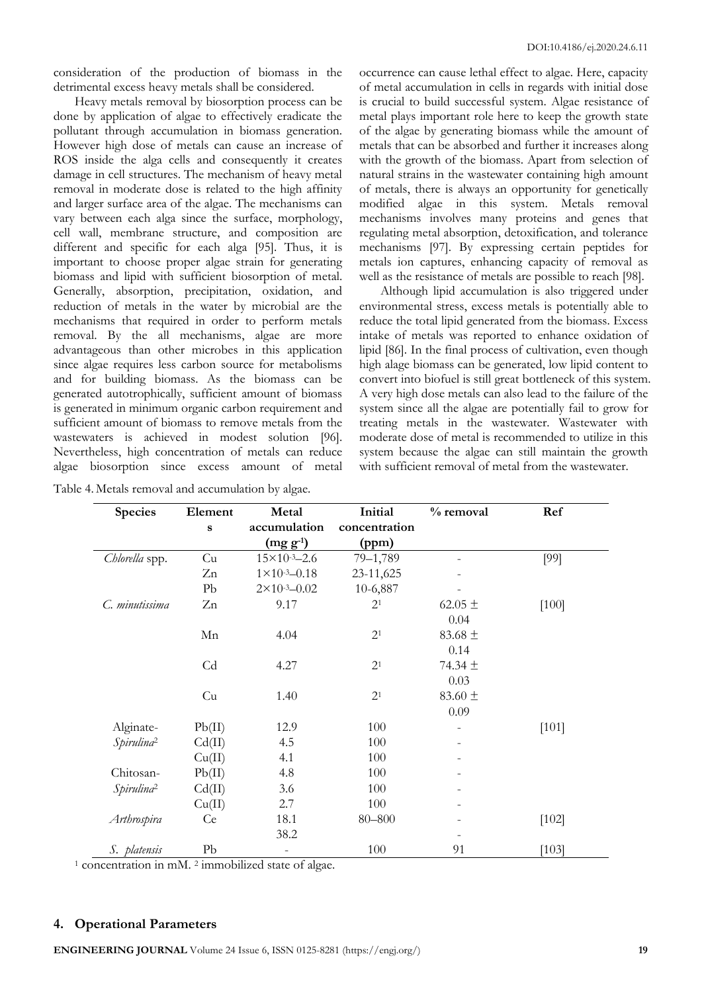consideration of the production of biomass in the detrimental excess heavy metals shall be considered.

Heavy metals removal by biosorption process can be done by application of algae to effectively eradicate the pollutant through accumulation in biomass generation. However high dose of metals can cause an increase of ROS inside the alga cells and consequently it creates damage in cell structures. The mechanism of heavy metal removal in moderate dose is related to the high affinity and larger surface area of the algae. The mechanisms can vary between each alga since the surface, morphology, cell wall, membrane structure, and composition are different and specific for each alga [95]. Thus, it is important to choose proper algae strain for generating biomass and lipid with sufficient biosorption of metal. Generally, absorption, precipitation, oxidation, and reduction of metals in the water by microbial are the mechanisms that required in order to perform metals removal. By the all mechanisms, algae are more advantageous than other microbes in this application since algae requires less carbon source for metabolisms and for building biomass. As the biomass can be generated autotrophically, sufficient amount of biomass is generated in minimum organic carbon requirement and sufficient amount of biomass to remove metals from the wastewaters is achieved in modest solution [96]. Nevertheless, high concentration of metals can reduce algae biosorption since excess amount of metal

| Table 4. Metals removal and accumulation by algae. |  |  |  |  |  |
|----------------------------------------------------|--|--|--|--|--|
|----------------------------------------------------|--|--|--|--|--|

occurrence can cause lethal effect to algae. Here, capacity of metal accumulation in cells in regards with initial dose is crucial to build successful system. Algae resistance of metal plays important role here to keep the growth state of the algae by generating biomass while the amount of metals that can be absorbed and further it increases along with the growth of the biomass. Apart from selection of natural strains in the wastewater containing high amount of metals, there is always an opportunity for genetically modified algae in this system. Metals removal mechanisms involves many proteins and genes that regulating metal absorption, detoxification, and tolerance mechanisms [97]. By expressing certain peptides for metals ion captures, enhancing capacity of removal as well as the resistance of metals are possible to reach [98].

Although lipid accumulation is also triggered under environmental stress, excess metals is potentially able to reduce the total lipid generated from the biomass. Excess intake of metals was reported to enhance oxidation of lipid [86]. In the final process of cultivation, even though high alage biomass can be generated, low lipid content to convert into biofuel is still great bottleneck of this system. A very high dose metals can also lead to the failure of the system since all the algae are potentially fail to grow for treating metals in the wastewater. Wastewater with moderate dose of metal is recommended to utilize in this system because the algae can still maintain the growth with sufficient removal of metal from the wastewater.

| <b>Species</b>         | Element   | Metal                     | Initial        | % removal   | Ref     |
|------------------------|-----------|---------------------------|----------------|-------------|---------|
|                        | $\bf{s}$  | accumulation              | concentration  |             |         |
|                        |           | $(mg g^{-1})$             | (ppm)          |             |         |
| Chlorella spp.         | Cu        | $15 \times 10^{-3} - 2.6$ | 79-1,789       |             | [99]    |
|                        | Zn        | $1 \times 10^{-3} - 0.18$ | 23-11,625      |             |         |
|                        | Pb        | $2 \times 10^{-3} - 0.02$ | 10-6,887       |             |         |
| C. minutissima         | Zn        | 9.17                      | 2 <sup>1</sup> | 62.05 $\pm$ | $[100]$ |
|                        |           |                           |                | 0.04        |         |
|                        | Mn        | 4.04                      | 2 <sup>1</sup> | 83.68 $\pm$ |         |
|                        |           |                           |                | 0.14        |         |
|                        | Cd        | 4.27                      | 2 <sup>1</sup> | 74.34 ±     |         |
|                        |           |                           |                | 0.03        |         |
|                        | Cu        | 1.40                      | 2 <sup>1</sup> | 83.60 $\pm$ |         |
|                        |           |                           |                | 0.09        |         |
| Alginate-              | Pb(II)    | 12.9                      | 100            |             | [101]   |
| Spirulina <sup>2</sup> | Cd(II)    | 4.5                       | 100            |             |         |
|                        | Cu(II)    | 4.1                       | 100            |             |         |
| Chitosan-              | Pb(II)    | 4.8                       | 100            |             |         |
| Spirulina <sup>2</sup> | Cd(II)    | 3.6                       | 100            |             |         |
|                        | Cu(II)    | 2.7                       | 100            |             |         |
| Arthrospira            | <b>Ce</b> | 18.1                      | $80 - 800$     |             | $[102]$ |
|                        |           | 38.2                      |                |             |         |
| S. platensis           | Pb        | $\overline{\phantom{a}}$  | 100            | 91          | [103]   |

<sup>1</sup> concentration in mM.<sup>2</sup> immobilized state of algae.

### **4. Operational Parameters**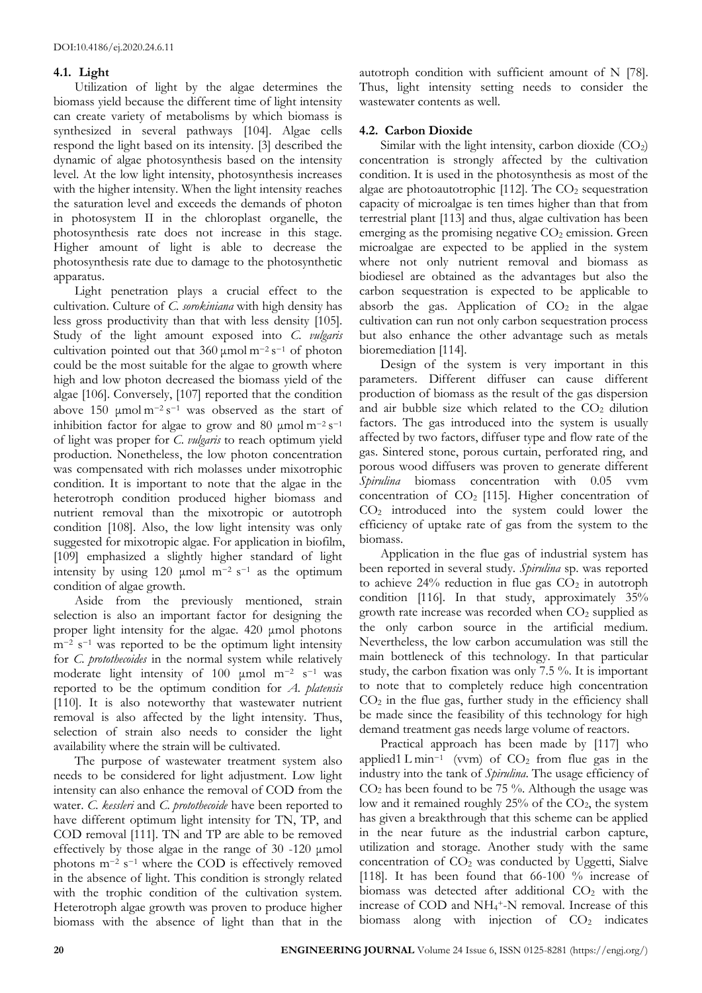# **4.1. Light**

Utilization of light by the algae determines the biomass yield because the different time of light intensity can create variety of metabolisms by which biomass is synthesized in several pathways [104]. Algae cells respond the light based on its intensity. [3] described the dynamic of algae photosynthesis based on the intensity level. At the low light intensity, photosynthesis increases with the higher intensity. When the light intensity reaches the saturation level and exceeds the demands of photon in photosystem II in the chloroplast organelle, the photosynthesis rate does not increase in this stage. Higher amount of light is able to decrease the photosynthesis rate due to damage to the photosynthetic apparatus.

Light penetration plays a crucial effect to the cultivation. Culture of *C. sorokiniana* with high density has less gross productivity than that with less density [105]. Study of the light amount exposed into *C. vulgaris* cultivation pointed out that  $360 \mu$ mol m<sup>-2</sup> s<sup>-1</sup> of photon could be the most suitable for the algae to growth where high and low photon decreased the biomass yield of the algae [106]. Conversely, [107] reported that the condition above 150 µmol  $m^{-2} s^{-1}$  was observed as the start of inhibition factor for algae to grow and 80 µmol  $m^{-2} s^{-1}$ of light was proper for *C. vulgaris* to reach optimum yield production. Nonetheless, the low photon concentration was compensated with rich molasses under mixotrophic condition. It is important to note that the algae in the heterotroph condition produced higher biomass and nutrient removal than the mixotropic or autotroph condition [108]. Also, the low light intensity was only suggested for mixotropic algae. For application in biofilm, [109] emphasized a slightly higher standard of light intensity by using 120 µmol  $m^{-2}$  s<sup>-1</sup> as the optimum condition of algae growth.

Aside from the previously mentioned, strain selection is also an important factor for designing the proper light intensity for the algae. 420 μmol photons m−<sup>2</sup> s <sup>−</sup><sup>1</sup> was reported to be the optimum light intensity for *C. protothecoides* in the normal system while relatively moderate light intensity of 100 μmol m−<sup>2</sup> s <sup>−</sup>1 was reported to be the optimum condition for *A. platensis* [110]. It is also noteworthy that wastewater nutrient removal is also affected by the light intensity. Thus, selection of strain also needs to consider the light availability where the strain will be cultivated.

The purpose of wastewater treatment system also needs to be considered for light adjustment. Low light intensity can also enhance the removal of COD from the water. *C. kessleri* and *C. protothecoide* have been reported to have different optimum light intensity for TN, TP, and COD removal [111]. TN and TP are able to be removed effectively by those algae in the range of 30 -120 μmol photons m<sup>-2</sup> s<sup>-1</sup> where the COD is effectively removed in the absence of light. This condition is strongly related with the trophic condition of the cultivation system. Heterotroph algae growth was proven to produce higher biomass with the absence of light than that in the

autotroph condition with sufficient amount of N [78]. Thus, light intensity setting needs to consider the wastewater contents as well.

# **4.2. Carbon Dioxide**

Similar with the light intensity, carbon dioxide  $(CO_2)$ concentration is strongly affected by the cultivation condition. It is used in the photosynthesis as most of the algae are photoautotrophic [112]. The CO<sub>2</sub> sequestration capacity of microalgae is ten times higher than that from terrestrial plant [113] and thus, algae cultivation has been emerging as the promising negative  $CO<sub>2</sub>$  emission. Green microalgae are expected to be applied in the system where not only nutrient removal and biomass as biodiesel are obtained as the advantages but also the carbon sequestration is expected to be applicable to absorb the gas. Application of  $CO<sub>2</sub>$  in the algae cultivation can run not only carbon sequestration process but also enhance the other advantage such as metals bioremediation [114].

Design of the system is very important in this parameters. Different diffuser can cause different production of biomass as the result of the gas dispersion and air bubble size which related to the  $CO<sub>2</sub>$  dilution factors. The gas introduced into the system is usually affected by two factors, diffuser type and flow rate of the gas. Sintered stone, porous curtain, perforated ring, and porous wood diffusers was proven to generate different *Spirulina* biomass concentration with 0.05 vvm concentration of  $CO<sub>2</sub>$  [115]. Higher concentration of CO<sup>2</sup> introduced into the system could lower the efficiency of uptake rate of gas from the system to the biomass.

Application in the flue gas of industrial system has been reported in several study. *Spirulina* sp. was reported to achieve  $24\%$  reduction in flue gas  $CO<sub>2</sub>$  in autotroph condition [116]. In that study, approximately 35% growth rate increase was recorded when  $CO<sub>2</sub>$  supplied as the only carbon source in the artificial medium. Nevertheless, the low carbon accumulation was still the main bottleneck of this technology. In that particular study, the carbon fixation was only 7.5 %. It is important to note that to completely reduce high concentration  $CO<sub>2</sub>$  in the flue gas, further study in the efficiency shall be made since the feasibility of this technology for high demand treatment gas needs large volume of reactors.

Practical approach has been made by [117] who applied1 L min<sup>-1</sup> (vvm) of  $CO<sub>2</sub>$  from flue gas in the industry into the tank of *Spirulina*. The usage efficiency of CO<sup>2</sup> has been found to be 75 %. Although the usage was low and it remained roughly  $25%$  of the  $CO<sub>2</sub>$ , the system has given a breakthrough that this scheme can be applied in the near future as the industrial carbon capture, utilization and storage. Another study with the same concentration of  $CO<sub>2</sub>$  was conducted by Uggetti, Sialve [118]. It has been found that 66-100 % increase of biomass was detected after additional  $CO<sub>2</sub>$  with the increase of COD and NH<sup>4</sup> <sup>+</sup>-N removal. Increase of this biomass along with injection of  $CO<sub>2</sub>$  indicates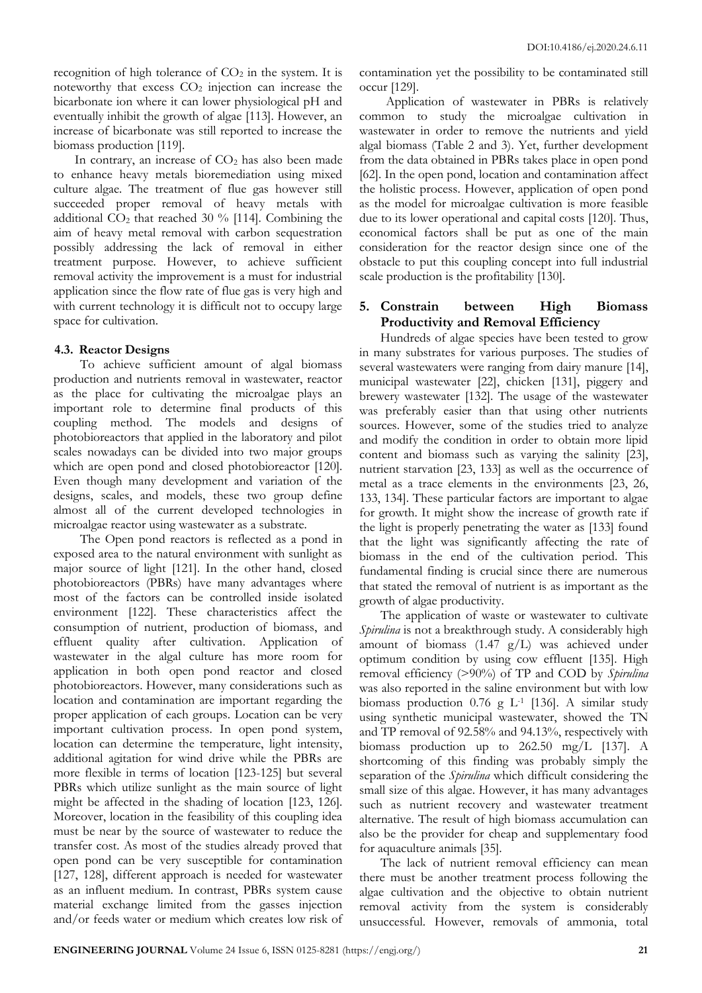recognition of high tolerance of  $CO<sub>2</sub>$  in the system. It is noteworthy that excess  $CO<sub>2</sub>$  injection can increase the bicarbonate ion where it can lower physiological pH and eventually inhibit the growth of algae [113]. However, an increase of bicarbonate was still reported to increase the biomass production [119].

In contrary, an increase of  $CO<sub>2</sub>$  has also been made to enhance heavy metals bioremediation using mixed culture algae. The treatment of flue gas however still succeeded proper removal of heavy metals with additional  $CO<sub>2</sub>$  that reached 30 % [114]. Combining the aim of heavy metal removal with carbon sequestration possibly addressing the lack of removal in either treatment purpose. However, to achieve sufficient removal activity the improvement is a must for industrial application since the flow rate of flue gas is very high and with current technology it is difficult not to occupy large space for cultivation.

# **4.3. Reactor Designs**

To achieve sufficient amount of algal biomass production and nutrients removal in wastewater, reactor as the place for cultivating the microalgae plays an important role to determine final products of this coupling method. The models and designs of photobioreactors that applied in the laboratory and pilot scales nowadays can be divided into two major groups which are open pond and closed photobioreactor [120]. Even though many development and variation of the designs, scales, and models, these two group define almost all of the current developed technologies in microalgae reactor using wastewater as a substrate.

The Open pond reactors is reflected as a pond in exposed area to the natural environment with sunlight as major source of light [121]. In the other hand, closed photobioreactors (PBRs) have many advantages where most of the factors can be controlled inside isolated environment [122]. These characteristics affect the consumption of nutrient, production of biomass, and effluent quality after cultivation. Application of wastewater in the algal culture has more room for application in both open pond reactor and closed photobioreactors. However, many considerations such as location and contamination are important regarding the proper application of each groups. Location can be very important cultivation process. In open pond system, location can determine the temperature, light intensity, additional agitation for wind drive while the PBRs are more flexible in terms of location [123-125] but several PBRs which utilize sunlight as the main source of light might be affected in the shading of location [123, 126]. Moreover, location in the feasibility of this coupling idea must be near by the source of wastewater to reduce the transfer cost. As most of the studies already proved that open pond can be very susceptible for contamination [127, 128], different approach is needed for wastewater as an influent medium. In contrast, PBRs system cause material exchange limited from the gasses injection and/or feeds water or medium which creates low risk of

contamination yet the possibility to be contaminated still occur [129].

Application of wastewater in PBRs is relatively common to study the microalgae cultivation in wastewater in order to remove the nutrients and yield algal biomass (Table 2 and 3). Yet, further development from the data obtained in PBRs takes place in open pond [62]. In the open pond, location and contamination affect the holistic process. However, application of open pond as the model for microalgae cultivation is more feasible due to its lower operational and capital costs [120]. Thus, economical factors shall be put as one of the main consideration for the reactor design since one of the obstacle to put this coupling concept into full industrial scale production is the profitability [130].

# **5. Constrain between High Biomass Productivity and Removal Efficiency**

Hundreds of algae species have been tested to grow in many substrates for various purposes. The studies of several wastewaters were ranging from dairy manure [14], municipal wastewater [22], chicken [131], piggery and brewery wastewater [132]. The usage of the wastewater was preferably easier than that using other nutrients sources. However, some of the studies tried to analyze and modify the condition in order to obtain more lipid content and biomass such as varying the salinity [23], nutrient starvation [23, 133] as well as the occurrence of metal as a trace elements in the environments [23, 26, 133, 134]. These particular factors are important to algae for growth. It might show the increase of growth rate if the light is properly penetrating the water as [133] found that the light was significantly affecting the rate of biomass in the end of the cultivation period. This fundamental finding is crucial since there are numerous that stated the removal of nutrient is as important as the growth of algae productivity.

The application of waste or wastewater to cultivate *Spirulina* is not a breakthrough study. A considerably high amount of biomass  $(1.47 \text{ g/L})$  was achieved under optimum condition by using cow effluent [135]. High removal efficiency (>90%) of TP and COD by *Spirulina*  was also reported in the saline environment but with low biomass production  $0.76$  g L<sup>1</sup> [136]. A similar study using synthetic municipal wastewater, showed the TN and TP removal of 92.58% and 94.13%, respectively with biomass production up to 262.50 mg/L [137]. A shortcoming of this finding was probably simply the separation of the *Spirulina* which difficult considering the small size of this algae. However, it has many advantages such as nutrient recovery and wastewater treatment alternative. The result of high biomass accumulation can also be the provider for cheap and supplementary food for aquaculture animals [35].

The lack of nutrient removal efficiency can mean there must be another treatment process following the algae cultivation and the objective to obtain nutrient removal activity from the system is considerably unsuccessful. However, removals of ammonia, total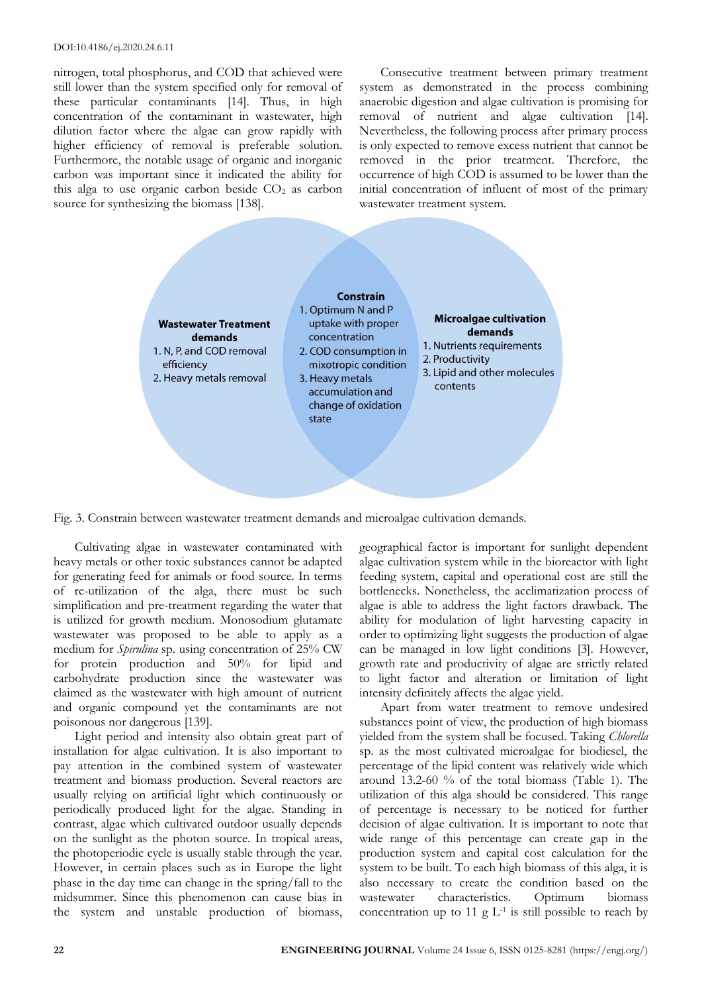nitrogen, total phosphorus, and COD that achieved were still lower than the system specified only for removal of these particular contaminants [14]. Thus, in high concentration of the contaminant in wastewater, high dilution factor where the algae can grow rapidly with higher efficiency of removal is preferable solution. Furthermore, the notable usage of organic and inorganic carbon was important since it indicated the ability for this alga to use organic carbon beside  $CO<sub>2</sub>$  as carbon source for synthesizing the biomass [138].

Consecutive treatment between primary treatment system as demonstrated in the process combining anaerobic digestion and algae cultivation is promising for removal of nutrient and algae cultivation [14]. Nevertheless, the following process after primary process is only expected to remove excess nutrient that cannot be removed in the prior treatment. Therefore, the occurrence of high COD is assumed to be lower than the initial concentration of influent of most of the primary wastewater treatment system.



Fig. 3. Constrain between wastewater treatment demands and microalgae cultivation demands.

Cultivating algae in wastewater contaminated with heavy metals or other toxic substances cannot be adapted for generating feed for animals or food source. In terms of re-utilization of the alga, there must be such simplification and pre-treatment regarding the water that is utilized for growth medium. Monosodium glutamate wastewater was proposed to be able to apply as a medium for *Spirulina* sp. using concentration of 25% CW for protein production and 50% for lipid and carbohydrate production since the wastewater was claimed as the wastewater with high amount of nutrient and organic compound yet the contaminants are not poisonous nor dangerous [139].

Light period and intensity also obtain great part of installation for algae cultivation. It is also important to pay attention in the combined system of wastewater treatment and biomass production. Several reactors are usually relying on artificial light which continuously or periodically produced light for the algae. Standing in contrast, algae which cultivated outdoor usually depends on the sunlight as the photon source. In tropical areas, the photoperiodic cycle is usually stable through the year. However, in certain places such as in Europe the light phase in the day time can change in the spring/fall to the midsummer. Since this phenomenon can cause bias in the system and unstable production of biomass,

geographical factor is important for sunlight dependent algae cultivation system while in the bioreactor with light feeding system, capital and operational cost are still the bottlenecks. Nonetheless, the acclimatization process of algae is able to address the light factors drawback. The ability for modulation of light harvesting capacity in order to optimizing light suggests the production of algae can be managed in low light conditions [3]. However, growth rate and productivity of algae are strictly related to light factor and alteration or limitation of light intensity definitely affects the algae yield.

Apart from water treatment to remove undesired substances point of view, the production of high biomass yielded from the system shall be focused. Taking *Chlorella* sp. as the most cultivated microalgae for biodiesel, the percentage of the lipid content was relatively wide which around 13.2-60 % of the total biomass (Table 1). The utilization of this alga should be considered. This range of percentage is necessary to be noticed for further decision of algae cultivation. It is important to note that wide range of this percentage can create gap in the production system and capital cost calculation for the system to be built. To each high biomass of this alga, it is also necessary to create the condition based on the wastewater characteristics. Optimum biomass concentration up to 11  $g L<sup>-1</sup>$  is still possible to reach by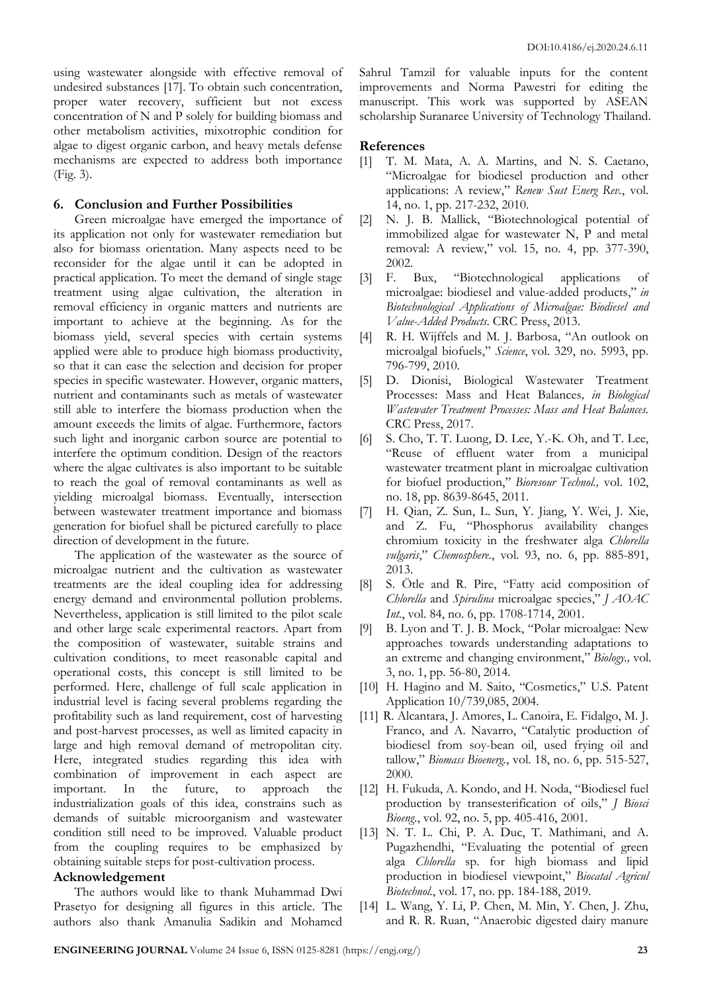using wastewater alongside with effective removal of undesired substances [17]. To obtain such concentration, proper water recovery, sufficient but not excess concentration of N and P solely for building biomass and other metabolism activities, mixotrophic condition for algae to digest organic carbon, and heavy metals defense mechanisms are expected to address both importance (Fig. 3).

### **6. Conclusion and Further Possibilities**

Green microalgae have emerged the importance of its application not only for wastewater remediation but also for biomass orientation. Many aspects need to be reconsider for the algae until it can be adopted in practical application. To meet the demand of single stage treatment using algae cultivation, the alteration in removal efficiency in organic matters and nutrients are important to achieve at the beginning. As for the biomass yield, several species with certain systems applied were able to produce high biomass productivity, so that it can ease the selection and decision for proper species in specific wastewater. However, organic matters, nutrient and contaminants such as metals of wastewater still able to interfere the biomass production when the amount exceeds the limits of algae. Furthermore, factors such light and inorganic carbon source are potential to interfere the optimum condition. Design of the reactors where the algae cultivates is also important to be suitable to reach the goal of removal contaminants as well as yielding microalgal biomass. Eventually, intersection between wastewater treatment importance and biomass generation for biofuel shall be pictured carefully to place direction of development in the future.

The application of the wastewater as the source of microalgae nutrient and the cultivation as wastewater treatments are the ideal coupling idea for addressing energy demand and environmental pollution problems. Nevertheless, application is still limited to the pilot scale and other large scale experimental reactors. Apart from the composition of wastewater, suitable strains and cultivation conditions, to meet reasonable capital and operational costs, this concept is still limited to be performed. Here, challenge of full scale application in industrial level is facing several problems regarding the profitability such as land requirement, cost of harvesting and post-harvest processes, as well as limited capacity in large and high removal demand of metropolitan city. Here, integrated studies regarding this idea with combination of improvement in each aspect are important. In the future, to approach the industrialization goals of this idea, constrains such as demands of suitable microorganism and wastewater condition still need to be improved. Valuable product from the coupling requires to be emphasized by obtaining suitable steps for post-cultivation process.

### **Acknowledgement**

The authors would like to thank Muhammad Dwi Prasetyo for designing all figures in this article. The authors also thank Amanulia Sadikin and Mohamed Sahrul Tamzil for valuable inputs for the content improvements and Norma Pawestri for editing the manuscript. This work was supported by ASEAN scholarship Suranaree University of Technology Thailand.

# **References**

- [1] T. M. Mata, A. A. Martins, and N. S. Caetano, "Microalgae for biodiesel production and other applications: A review," *Renew Sust Energ Rev.*, vol. 14, no. 1, pp. 217-232, 2010.
- [2] N. J. B. Mallick, "Biotechnological potential of immobilized algae for wastewater N, P and metal removal: A review," vol. 15, no. 4, pp. 377-390, 2002.
- [3] F. Bux, "Biotechnological applications of microalgae: biodiesel and value-added products," *in Biotechnological Applications of Microalgae: Biodiesel and Value-Added Products*. CRC Press, 2013.
- [4] R. H. Wijffels and M. J. Barbosa, "An outlook on microalgal biofuels," *Science*, vol. 329, no. 5993, pp. 796-799, 2010.
- [5] D. Dionisi, Biological Wastewater Treatment Processes: Mass and Heat Balances*, in Biological Wastewater Treatment Processes: Mass and Heat Balances.* CRC Press, 2017.
- [6] S. Cho, T. T. Luong, D. Lee, Y.-K. Oh, and T. Lee, "Reuse of effluent water from a municipal wastewater treatment plant in microalgae cultivation for biofuel production," *Bioresour Technol.,* vol. 102, no. 18, pp. 8639-8645, 2011.
- [7] H. Qian, Z. Sun, L. Sun, Y. Jiang, Y. Wei, J. Xie, and Z. Fu, "Phosphorus availability changes chromium toxicity in the freshwater alga *Chlorella vulgaris*," *Chemosphere.*, vol. 93, no. 6, pp. 885-891, 2013.
- [8] S. Ötle and R. Pire, "Fatty acid composition of *Chlorella* and *Spirulina* microalgae species," *J AOAC Int.*, vol. 84, no. 6, pp. 1708-1714, 2001.
- [9] B. Lyon and T. J. B. Mock, "Polar microalgae: New approaches towards understanding adaptations to an extreme and changing environment," *Biology.,* vol. 3, no. 1, pp. 56-80, 2014.
- [10] H. Hagino and M. Saito, "Cosmetics," U.S. Patent Application 10/739,085, 2004.
- [11] R. Alcantara, J. Amores, L. Canoira, E. Fidalgo, M. J. Franco, and A. Navarro, "Catalytic production of biodiesel from soy-bean oil, used frying oil and tallow," *Biomass Bioenerg.*, vol. 18, no. 6, pp. 515-527, 2000.
- [12] H. Fukuda, A. Kondo, and H. Noda, "Biodiesel fuel production by transesterification of oils," *J Biosci Bioeng.*, vol. 92, no. 5, pp. 405-416, 2001.
- [13] N. T. L. Chi, P. A. Duc, T. Mathimani, and A. Pugazhendhi, "Evaluating the potential of green alga *Chlorella* sp. for high biomass and lipid production in biodiesel viewpoint," *Biocatal Agricul Biotechnol.*, vol. 17, no. pp. 184-188, 2019.
- [14] L. Wang, Y. Li, P. Chen, M. Min, Y. Chen, J. Zhu, and R. R. Ruan, "Anaerobic digested dairy manure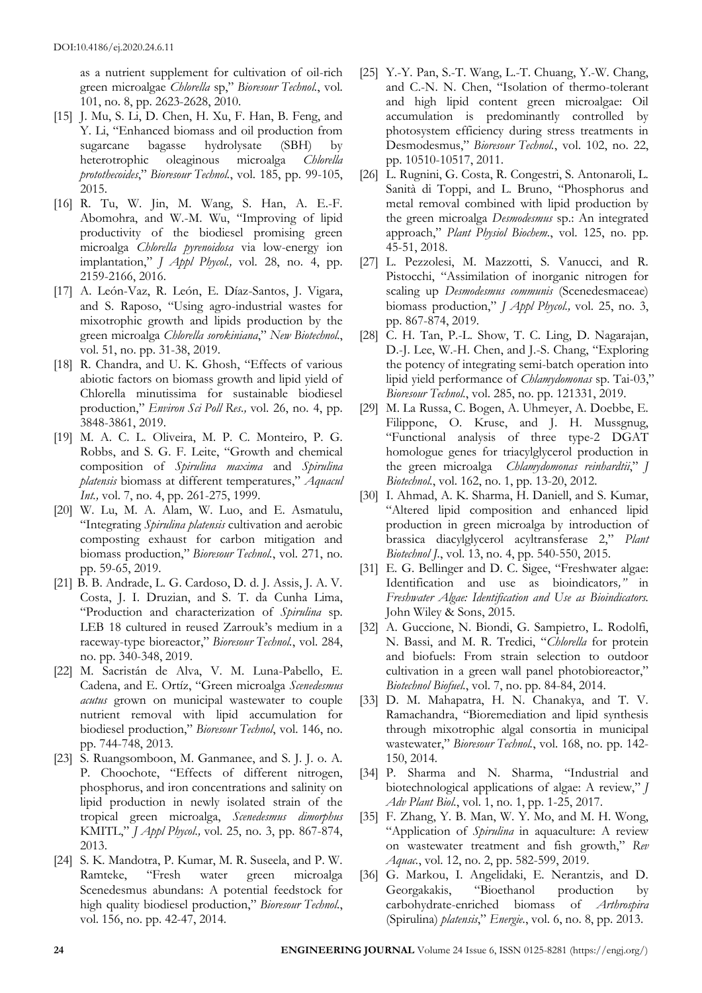as a nutrient supplement for cultivation of oil-rich green microalgae *Chlorella* sp," *Bioresour Technol.*, vol. 101, no. 8, pp. 2623-2628, 2010.

- [15] J. Mu, S. Li, D. Chen, H. Xu, F. Han, B. Feng, and Y. Li, "Enhanced biomass and oil production from sugarcane bagasse hydrolysate (SBH) by heterotrophic oleaginous microalga *Chlorella protothecoides*," *Bioresour Technol.*, vol. 185, pp. 99-105, 2015.
- [16] R. Tu, W. Jin, M. Wang, S. Han, A. E.-F. Abomohra, and W.-M. Wu, "Improving of lipid productivity of the biodiesel promising green microalga *Chlorella pyrenoidosa* via low-energy ion implantation," *J Appl Phycol.,* vol. 28, no. 4, pp. 2159-2166, 2016.
- [17] A. León-Vaz, R. León, E. Díaz-Santos, J. Vigara, and S. Raposo, "Using agro-industrial wastes for mixotrophic growth and lipids production by the green microalga *Chlorella sorokiniana*," *New Biotechnol.*, vol. 51, no. pp. 31-38, 2019.
- [18] R. Chandra, and U. K. Ghosh, "Effects of various abiotic factors on biomass growth and lipid yield of Chlorella minutissima for sustainable biodiesel production," *Environ Sci Poll Res.,* vol. 26, no. 4, pp. 3848-3861, 2019.
- [19] M. A. C. L. Oliveira, M. P. C. Monteiro, P. G. Robbs, and S. G. F. Leite, "Growth and chemical composition of *Spirulina maxima* and *Spirulina platensis* biomass at different temperatures," *Aquacul Int.*, vol. 7, no. 4, pp. 261-275, 1999.
- [20] W. Lu, M. A. Alam, W. Luo, and E. Asmatulu, "Integrating *Spirulina platensis* cultivation and aerobic composting exhaust for carbon mitigation and biomass production," *Bioresour Technol.*, vol. 271, no. pp. 59-65, 2019.
- [21] B. B. Andrade, L. G. Cardoso, D. d. J. Assis, J. A. V. Costa, J. I. Druzian, and S. T. da Cunha Lima, "Production and characterization of *Spirulina* sp. LEB 18 cultured in reused Zarrouk's medium in a raceway-type bioreactor," *Bioresour Technol.*, vol. 284, no. pp. 340-348, 2019.
- [22] M. Sacristán de Alva, V. M. Luna-Pabello, E. Cadena, and E. Ortíz, "Green microalga *Scenedesmus acutus* grown on municipal wastewater to couple nutrient removal with lipid accumulation for biodiesel production," *Bioresour Technol*, vol. 146, no. pp. 744-748, 2013.
- [23] S. Ruangsomboon, M. Ganmanee, and S. J. J. o. A. P. Choochote, "Effects of different nitrogen, phosphorus, and iron concentrations and salinity on lipid production in newly isolated strain of the tropical green microalga, *Scenedesmus dimorphus* KMITL," *J Appl Phycol.,* vol. 25, no. 3, pp. 867-874, 2013.
- [24] S. K. Mandotra, P. Kumar, M. R. Suseela, and P. W. Ramteke, "Fresh water green microalga Scenedesmus abundans: A potential feedstock for high quality biodiesel production," *Bioresour Technol.*, vol. 156, no. pp. 42-47, 2014.
- [25] Y.-Y. Pan, S.-T. Wang, L.-T. Chuang, Y.-W. Chang, and C.-N. N. Chen, "Isolation of thermo-tolerant and high lipid content green microalgae: Oil accumulation is predominantly controlled by photosystem efficiency during stress treatments in Desmodesmus," *Bioresour Technol.*, vol. 102, no. 22, pp. 10510-10517, 2011.
- [26] L. Rugnini, G. Costa, R. Congestri, S. Antonaroli, L. Sanità di Toppi, and L. Bruno, "Phosphorus and metal removal combined with lipid production by the green microalga *Desmodesmus* sp.: An integrated approach," *Plant Physiol Biochem.*, vol. 125, no. pp. 45-51, 2018.
- [27] L. Pezzolesi, M. Mazzotti, S. Vanucci, and R. Pistocchi, "Assimilation of inorganic nitrogen for scaling up *Desmodesmus communis* (Scenedesmaceae) biomass production," *J Appl Phycol.,* vol. 25, no. 3, pp. 867-874, 2019.
- [28] C. H. Tan, P.-L. Show, T. C. Ling, D. Nagarajan, D.-J. Lee, W.-H. Chen, and J.-S. Chang, "Exploring the potency of integrating semi-batch operation into lipid yield performance of *Chlamydomonas* sp. Tai-03," *Bioresour Technol.*, vol. 285, no. pp. 121331, 2019.
- [29] M. La Russa, C. Bogen, A. Uhmeyer, A. Doebbe, E. Filippone, O. Kruse, and J. H. Mussgnug, "Functional analysis of three type-2 DGAT homologue genes for triacylglycerol production in the green microalga *Chlamydomonas reinhardtii*," *J Biotechnol.*, vol. 162, no. 1, pp. 13-20, 2012.
- [30] I. Ahmad, A. K. Sharma, H. Daniell, and S. Kumar, "Altered lipid composition and enhanced lipid production in green microalga by introduction of brassica diacylglycerol acyltransferase 2," *Plant Biotechnol J.*, vol. 13, no. 4, pp. 540-550, 2015.
- [31] E. G. Bellinger and D. C. Sigee, "Freshwater algae: Identification and use as bioindicators*,"* in *Freshwater Algae: Identification and Use as Bioindicators.*  John Wiley & Sons, 2015.
- [32] A. Guccione, N. Biondi, G. Sampietro, L. Rodolfi, N. Bassi, and M. R. Tredici, "*Chlorella* for protein and biofuels: From strain selection to outdoor cultivation in a green wall panel photobioreactor," *Biotechnol Biofuel.*, vol. 7, no. pp. 84-84, 2014.
- [33] D. M. Mahapatra, H. N. Chanakya, and T. V. Ramachandra, "Bioremediation and lipid synthesis through mixotrophic algal consortia in municipal wastewater," *Bioresour Technol.*, vol. 168, no. pp. 142- 150, 2014.
- [34] P. Sharma and N. Sharma, "Industrial and biotechnological applications of algae: A review," *J Adv Plant Biol.*, vol. 1, no. 1, pp. 1-25, 2017.
- [35] F. Zhang, Y. B. Man, W. Y. Mo, and M. H. Wong, "Application of *Spirulina* in aquaculture: A review on wastewater treatment and fish growth," *Rev Aquac.*, vol. 12, no. 2, pp. 582-599, 2019.
- [36] G. Markou, I. Angelidaki, E. Nerantzis, and D. Georgakakis, "Bioethanol production by carbohydrate-enriched biomass of *Arthrospira* (Spirulina) *platensis*," *Energie.*, vol. 6, no. 8, pp. 2013.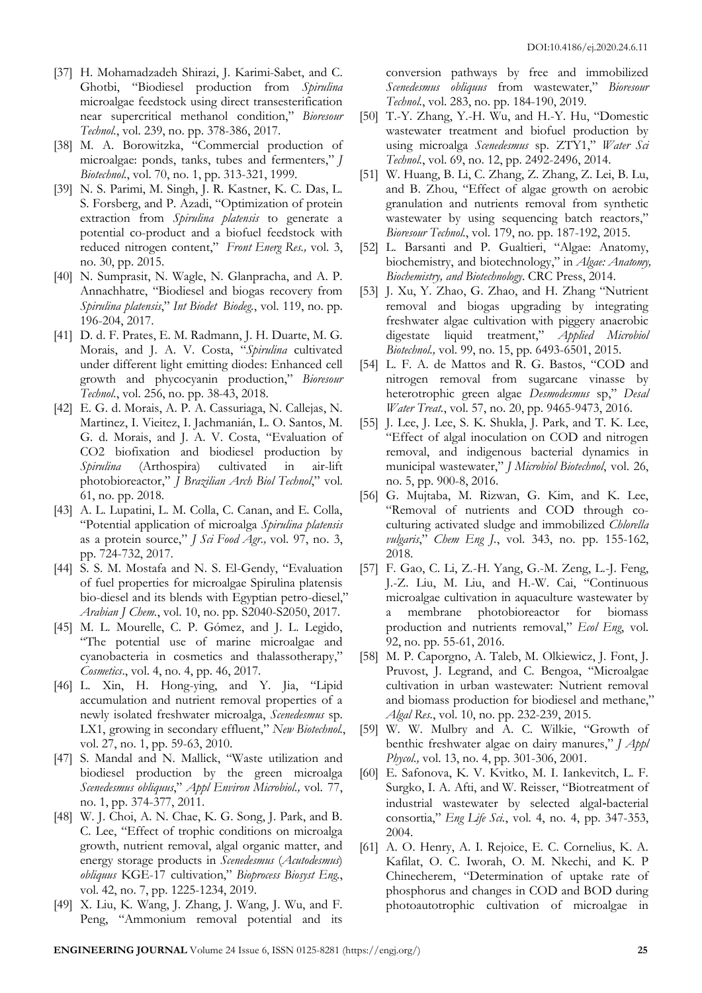- [37] H. Mohamadzadeh Shirazi, J. Karimi-Sabet, and C. Ghotbi, "Biodiesel production from *Spirulina* microalgae feedstock using direct transesterification near supercritical methanol condition," *Bioresour Technol.*, vol. 239, no. pp. 378-386, 2017.
- [38] M. A. Borowitzka, "Commercial production of microalgae: ponds, tanks, tubes and fermenters," *J Biotechnol.*, vol. 70, no. 1, pp. 313-321, 1999.
- [39] N. S. Parimi, M. Singh, J. R. Kastner, K. C. Das, L. S. Forsberg, and P. Azadi, "Optimization of protein extraction from *Spirulina platensis* to generate a potential co-product and a biofuel feedstock with reduced nitrogen content," *Front Energ Res.,* vol. 3, no. 30, pp. 2015.
- [40] N. Sumprasit, N. Wagle, N. Glanpracha, and A. P. Annachhatre, "Biodiesel and biogas recovery from *Spirulina platensis*," *Int Biodet Biodeg.*, vol. 119, no. pp. 196-204, 2017.
- [41] D. d. F. Prates, E. M. Radmann, J. H. Duarte, M. G. Morais, and J. A. V. Costa, "*Spirulina* cultivated under different light emitting diodes: Enhanced cell growth and phycocyanin production," *Bioresour Technol.*, vol. 256, no. pp. 38-43, 2018.
- [42] E. G. d. Morais, A. P. A. Cassuriaga, N. Callejas, N. Martinez, I. Vieitez, I. Jachmanián, L. O. Santos, M. G. d. Morais, and J. A. V. Costa, "Evaluation of CO2 biofixation and biodiesel production by *Spirulina* (Arthospira) cultivated in air-lift photobioreactor," *J Brazilian Arch Biol Technol*," vol. 61, no. pp. 2018.
- [43] A. L. Lupatini, L. M. Colla, C. Canan, and E. Colla, "Potential application of microalga *Spirulina platensis* as a protein source," *J Sci Food Agr.,* vol. 97, no. 3, pp. 724-732, 2017.
- [44] S. S. M. Mostafa and N. S. El-Gendy, "Evaluation of fuel properties for microalgae Spirulina platensis bio-diesel and its blends with Egyptian petro-diesel," *Arabian J Chem.*, vol. 10, no. pp. S2040-S2050, 2017.
- [45] M. L. Mourelle, C. P. Gómez, and J. L. Legido, "The potential use of marine microalgae and cyanobacteria in cosmetics and thalassotherapy," *Cosmetics*., vol. 4, no. 4, pp. 46, 2017.
- [46] L. Xin, H. Hong-ying, and Y. Jia, "Lipid accumulation and nutrient removal properties of a newly isolated freshwater microalga, *Scenedesmus* sp. LX1, growing in secondary effluent," *New Biotechnol.*, vol. 27, no. 1, pp. 59-63, 2010.
- [47] S. Mandal and N. Mallick, "Waste utilization and biodiesel production by the green microalga *Scenedesmus obliquus*," *Appl Environ Microbiol.,* vol. 77, no. 1, pp. 374-377, 2011.
- [48] W. J. Choi, A. N. Chae, K. G. Song, J. Park, and B. C. Lee, "Effect of trophic conditions on microalga growth, nutrient removal, algal organic matter, and energy storage products in *Scenedesmus* (*Acutodesmus*) *obliquus* KGE-17 cultivation," *Bioprocess Biosyst Eng.*, vol. 42, no. 7, pp. 1225-1234, 2019.
- [49] X. Liu, K. Wang, J. Zhang, J. Wang, J. Wu, and F. Peng, "Ammonium removal potential and its

conversion pathways by free and immobilized *Scenedesmus obliquus* from wastewater," *Bioresour Technol.*, vol. 283, no. pp. 184-190, 2019.

- [50] T.-Y. Zhang, Y.-H. Wu, and H.-Y. Hu, "Domestic wastewater treatment and biofuel production by using microalga *Scenedesmus* sp. ZTY1," *Water Sci Technol.*, vol. 69, no. 12, pp. 2492-2496, 2014.
- [51] W. Huang, B. Li, C. Zhang, Z. Zhang, Z. Lei, B. Lu, and B. Zhou, "Effect of algae growth on aerobic granulation and nutrients removal from synthetic wastewater by using sequencing batch reactors," *Bioresour Technol.*, vol. 179, no. pp. 187-192, 2015.
- [52] L. Barsanti and P. Gualtieri, "Algae: Anatomy, biochemistry, and biotechnology," in *Algae: Anatomy, Biochemistry, and Biotechnology*. CRC Press, 2014.
- [53] J. Xu, Y. Zhao, G. Zhao, and H. Zhang "Nutrient removal and biogas upgrading by integrating freshwater algae cultivation with piggery anaerobic digestate liquid treatment," *Applied Microbiol Biotechnol.,* vol. 99, no. 15, pp. 6493-6501, 2015.
- [54] L. F. A. de Mattos and R. G. Bastos, "COD and nitrogen removal from sugarcane vinasse by heterotrophic green algae *Desmodesmus* sp," *Desal Water Treat.*, vol. 57, no. 20, pp. 9465-9473, 2016.
- [55] J. Lee, J. Lee, S. K. Shukla, J. Park, and T. K. Lee, "Effect of algal inoculation on COD and nitrogen removal, and indigenous bacterial dynamics in municipal wastewater," *J Microbiol Biotechnol*, vol. 26, no. 5, pp. 900-8, 2016.
- [56] G. Mujtaba, M. Rizwan, G. Kim, and K. Lee, "Removal of nutrients and COD through coculturing activated sludge and immobilized *Chlorella vulgaris*," *Chem Eng J.*, vol. 343, no. pp. 155-162, 2018.
- [57] F. Gao, C. Li, Z.-H. Yang, G.-M. Zeng, L.-J. Feng, J.-Z. Liu, M. Liu, and H.-W. Cai, "Continuous microalgae cultivation in aquaculture wastewater by a membrane photobioreactor for biomass production and nutrients removal," *Ecol Eng*, vol. 92, no. pp. 55-61, 2016.
- [58] M. P. Caporgno, A. Taleb, M. Olkiewicz, J. Font, J. Pruvost, J. Legrand, and C. Bengoa, "Microalgae cultivation in urban wastewater: Nutrient removal and biomass production for biodiesel and methane," *Algal Res.*, vol. 10, no. pp. 232-239, 2015.
- [59] W. W. Mulbry and A. C. Wilkie, "Growth of benthic freshwater algae on dairy manures," *J Appl Phycol.,* vol. 13, no. 4, pp. 301-306, 2001.
- [60] E. Safonova, K. V. Kvitko, M. I. Iankevitch, L. F. Surgko, I. A. Afti, and W. Reisser, "Biotreatment of industrial wastewater by selected algal-bacterial consortia," *Eng Life Sci.*, vol. 4, no. 4, pp. 347-353, 2004.
- [61] A. O. Henry, A. I. Rejoice, E. C. Cornelius, K. A. Kafilat, O. C. Iworah, O. M. Nkechi, and K. P Chinecherem, "Determination of uptake rate of phosphorus and changes in COD and BOD during photoautotrophic cultivation of microalgae in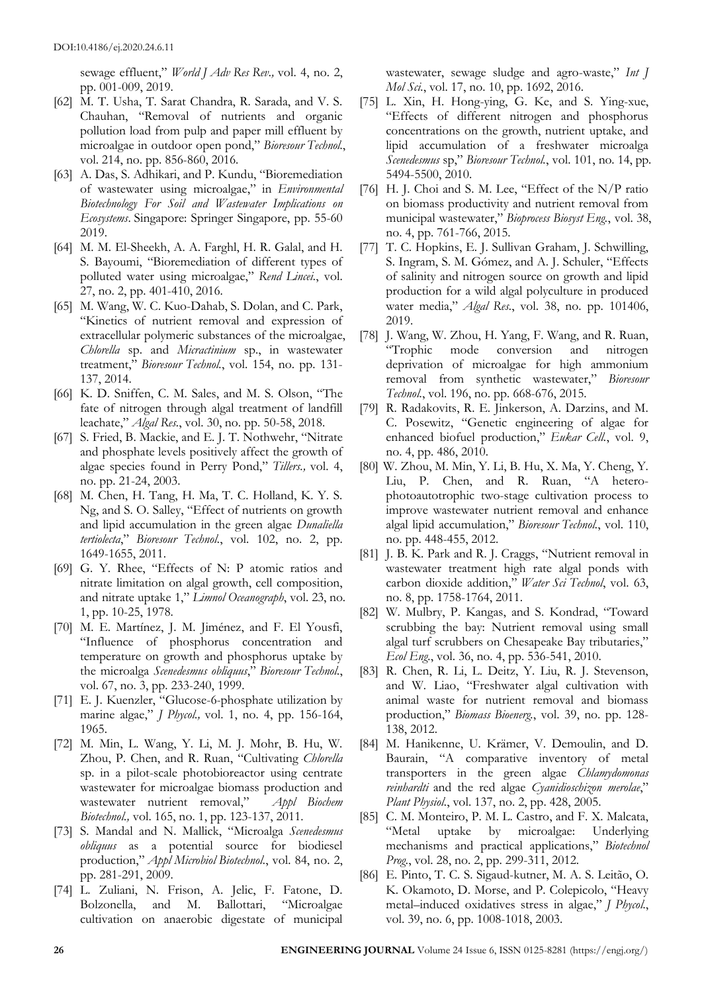sewage effluent," *World J Adv Res Rev.,* vol. 4, no. 2, pp. 001-009, 2019.

- [62] M. T. Usha, T. Sarat Chandra, R. Sarada, and V. S. Chauhan, "Removal of nutrients and organic pollution load from pulp and paper mill effluent by microalgae in outdoor open pond," *Bioresour Technol.*, vol. 214, no. pp. 856-860, 2016.
- [63] A. Das, S. Adhikari, and P. Kundu, "Bioremediation of wastewater using microalgae," in *Environmental Biotechnology For Soil and Wastewater Implications on Ecosystems*. Singapore: Springer Singapore, pp. 55-60 2019.
- [64] M. M. El-Sheekh, A. A. Farghl, H. R. Galal, and H. S. Bayoumi, "Bioremediation of different types of polluted water using microalgae," *Rend Lincei.*, vol. 27, no. 2, pp. 401-410, 2016.
- [65] M. Wang, W. C. Kuo-Dahab, S. Dolan, and C. Park, "Kinetics of nutrient removal and expression of extracellular polymeric substances of the microalgae, *Chlorella* sp. and *Micractinium* sp., in wastewater treatment," *Bioresour Technol.*, vol. 154, no. pp. 131- 137, 2014.
- [66] K. D. Sniffen, C. M. Sales, and M. S. Olson, "The fate of nitrogen through algal treatment of landfill leachate," *Algal Res.*, vol. 30, no. pp. 50-58, 2018.
- [67] S. Fried, B. Mackie, and E. J. T. Nothwehr, "Nitrate and phosphate levels positively affect the growth of algae species found in Perry Pond," *Tillers.,* vol. 4, no. pp. 21-24, 2003.
- [68] M. Chen, H. Tang, H. Ma, T. C. Holland, K. Y. S. Ng, and S. O. Salley, "Effect of nutrients on growth and lipid accumulation in the green algae *Dunaliella tertiolecta*," *Bioresour Technol.*, vol. 102, no. 2, pp. 1649-1655, 2011.
- [69] G. Y. Rhee, "Effects of N: P atomic ratios and nitrate limitation on algal growth, cell composition, and nitrate uptake 1," *Limnol Oceanograph*, vol. 23, no. 1, pp. 10-25, 1978.
- [70] M. E. Martínez, J. M. Jiménez, and F. El Yousfi, "Influence of phosphorus concentration and temperature on growth and phosphorus uptake by the microalga *Scenedesmus obliquus*," *Bioresour Technol.*, vol. 67, no. 3, pp. 233-240, 1999.
- [71] E. J. Kuenzler, "Glucose-6-phosphate utilization by marine algae," *J Phycol.,* vol. 1, no. 4, pp. 156-164, 1965.
- [72] M. Min, L. Wang, Y. Li, M. J. Mohr, B. Hu, W. Zhou, P. Chen, and R. Ruan, "Cultivating *Chlorella* sp. in a pilot-scale photobioreactor using centrate wastewater for microalgae biomass production and wastewater nutrient removal," *Appl Biochem Biotechnol.,* vol. 165, no. 1, pp. 123-137, 2011.
- [73] S. Mandal and N. Mallick, "Microalga *Scenedesmus obliquus* as a potential source for biodiesel production," *Appl Microbiol Biotechnol.*, vol. 84, no. 2, pp. 281-291, 2009.
- [74] L. Zuliani, N. Frison, A. Jelic, F. Fatone, D. Bolzonella, and M. Ballottari, "Microalgae cultivation on anaerobic digestate of municipal

wastewater, sewage sludge and agro-waste," *Int J Mol Sci.*, vol. 17, no. 10, pp. 1692, 2016.

- [75] L. Xin, H. Hong-ying, G. Ke, and S. Ying-xue, "Effects of different nitrogen and phosphorus concentrations on the growth, nutrient uptake, and lipid accumulation of a freshwater microalga *Scenedesmus* sp," *Bioresour Technol.*, vol. 101, no. 14, pp. 5494-5500, 2010.
- [76] H. J. Choi and S. M. Lee, "Effect of the N/P ratio on biomass productivity and nutrient removal from municipal wastewater," *Bioprocess Biosyst Eng.*, vol. 38, no. 4, pp. 761-766, 2015.
- [77] T. C. Hopkins, E. J. Sullivan Graham, J. Schwilling, S. Ingram, S. M. Gómez, and A. J. Schuler, "Effects of salinity and nitrogen source on growth and lipid production for a wild algal polyculture in produced water media," *Algal Res.*, vol. 38, no. pp. 101406, 2019.
- [78] J. Wang, W. Zhou, H. Yang, F. Wang, and R. Ruan, "Trophic mode conversion and nitrogen deprivation of microalgae for high ammonium removal from synthetic wastewater," *Bioresour Technol.*, vol. 196, no. pp. 668-676, 2015.
- [79] R. Radakovits, R. E. Jinkerson, A. Darzins, and M. C. Posewitz, "Genetic engineering of algae for enhanced biofuel production," *Eukar Cell.*, vol. 9, no. 4, pp. 486, 2010.
- [80] W. Zhou, M. Min, Y. Li, B. Hu, X. Ma, Y. Cheng, Y. Liu, P. Chen, and R. Ruan, "A heterophotoautotrophic two-stage cultivation process to improve wastewater nutrient removal and enhance algal lipid accumulation," *Bioresour Technol.*, vol. 110, no. pp. 448-455, 2012.
- [81] J. B. K. Park and R. J. Craggs, "Nutrient removal in wastewater treatment high rate algal ponds with carbon dioxide addition," *Water Sci Technol*, vol. 63, no. 8, pp. 1758-1764, 2011.
- [82] W. Mulbry, P. Kangas, and S. Kondrad, "Toward scrubbing the bay: Nutrient removal using small algal turf scrubbers on Chesapeake Bay tributaries," *Ecol Eng.*, vol. 36, no. 4, pp. 536-541, 2010.
- [83] R. Chen, R. Li, L. Deitz, Y. Liu, R. J. Stevenson, and W. Liao, "Freshwater algal cultivation with animal waste for nutrient removal and biomass production," *Biomass Bioenerg.*, vol. 39, no. pp. 128- 138, 2012.
- [84] M. Hanikenne, U. Krämer, V. Demoulin, and D. Baurain, "A comparative inventory of metal transporters in the green algae *Chlamydomonas reinhardti* and the red algae *Cyanidioschizon merolae*," *Plant Physiol.*, vol. 137, no. 2, pp. 428, 2005.
- [85] C. M. Monteiro, P. M. L. Castro, and F. X. Malcata, "Metal uptake by microalgae: Underlying mechanisms and practical applications," *Biotechnol Prog.*, vol. 28, no. 2, pp. 299-311, 2012.
- [86] E. Pinto, T. C. S. Sigaud-kutner, M. A. S. Leitão, O. K. Okamoto, D. Morse, and P. Colepicolo, "Heavy metal–induced oxidatives stress in algae," *J Phycol.*, vol. 39, no. 6, pp. 1008-1018, 2003.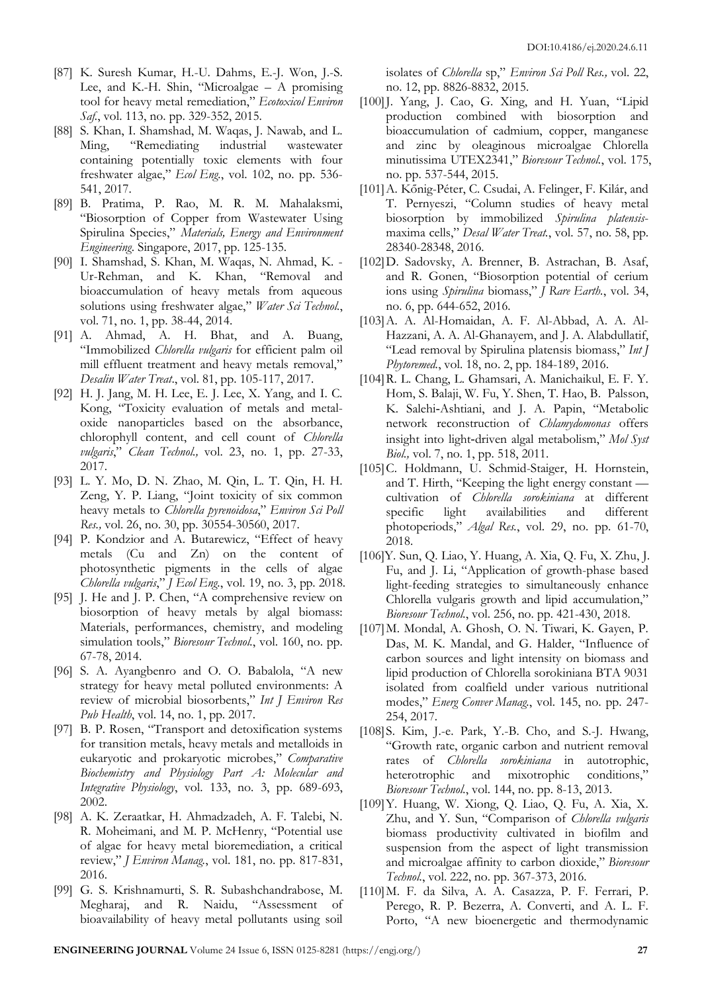- [87] K. Suresh Kumar, H.-U. Dahms, E.-J. Won, J.-S. Lee, and K.-H. Shin, "Microalgae – A promising tool for heavy metal remediation," *Ecotoxicol Environ Saf.*, vol. 113, no. pp. 329-352, 2015.
- [88] S. Khan, I. Shamshad, M. Waqas, J. Nawab, and L. Ming, "Remediating industrial wastewater containing potentially toxic elements with four freshwater algae," *Ecol Eng.*, vol. 102, no. pp. 536- 541, 2017.
- [89] B. Pratima, P. Rao, M. R. M. Mahalaksmi, "Biosorption of Copper from Wastewater Using Spirulina Species," *Materials, Energy and Environment Engineering*. Singapore, 2017, pp. 125-135.
- [90] I. Shamshad, S. Khan, M. Waqas, N. Ahmad, K. Ur-Rehman, and K. Khan, bioaccumulation of heavy metals from aqueous solutions using freshwater algae," *Water Sci Technol.*, vol. 71, no. 1, pp. 38-44, 2014.
- [91] A. Ahmad, A. H. Bhat, and A. Buang, "Immobilized *Chlorella vulgaris* for efficient palm oil mill effluent treatment and heavy metals removal," *Desalin Water Treat*., vol. 81, pp. 105-117, 2017.
- [92] H. J. Jang, M. H. Lee, E. J. Lee, X. Yang, and I. C. Kong, "Toxicity evaluation of metals and metaloxide nanoparticles based on the absorbance, chlorophyll content, and cell count of *Chlorella vulgaris*," *Clean Technol.,* vol. 23, no. 1, pp. 27-33, 2017.
- [93] L. Y. Mo, D. N. Zhao, M. Qin, L. T. Qin, H. H. Zeng, Y. P. Liang, "Joint toxicity of six common heavy metals to *Chlorella pyrenoidosa*," *Environ Sci Poll Res.,* vol. 26, no. 30, pp. 30554-30560, 2017.
- [94] P. Kondzior and A. Butarewicz, "Effect of heavy metals (Cu and Zn) on the content of photosynthetic pigments in the cells of algae *Chlorella vulgaris*," *J Ecol Eng.*, vol. 19, no. 3, pp. 2018.
- [95] J. He and J. P. Chen, "A comprehensive review on biosorption of heavy metals by algal biomass: Materials, performances, chemistry, and modeling simulation tools," *Bioresour Technol.*, vol. 160, no. pp. 67-78, 2014.
- [96] S. A. Ayangbenro and O. O. Babalola, "A new strategy for heavy metal polluted environments: A review of microbial biosorbents," *Int J Environ Res Pub Health*, vol. 14, no. 1, pp. 2017.
- [97] B. P. Rosen, "Transport and detoxification systems for transition metals, heavy metals and metalloids in eukaryotic and prokaryotic microbes," *Comparative Biochemistry and Physiology Part A: Molecular and Integrative Physiology*, vol. 133, no. 3, pp. 689-693, 2002.
- [98] A. K. Zeraatkar, H. Ahmadzadeh, A. F. Talebi, N. R. Moheimani, and M. P. McHenry, "Potential use of algae for heavy metal bioremediation, a critical review," *J Environ Manag.*, vol. 181, no. pp. 817-831, 2016.
- [99] G. S. Krishnamurti, S. R. Subashchandrabose, M. Megharaj, and R. Naidu, "Assessment of bioavailability of heavy metal pollutants using soil

isolates of *Chlorella* sp," *Environ Sci Poll Res.,* vol. 22, no. 12, pp. 8826-8832, 2015.

- [100] J. Yang, J. Cao, G. Xing, and H. Yuan, "Lipid production combined with biosorption and bioaccumulation of cadmium, copper, manganese and zinc by oleaginous microalgae Chlorella minutissima UTEX2341," *Bioresour Technol.*, vol. 175, no. pp. 537-544, 2015.
- [101]A. Kőnig-Péter, C. Csudai, A. Felinger, F. Kilár, and T. Pernyeszi, "Column studies of heavy metal biosorption by immobilized *Spirulina platensis*maxima cells," *Desal Water Treat.*, vol. 57, no. 58, pp. 28340-28348, 2016.
- [102]D. Sadovsky, A. Brenner, B. Astrachan, B. Asaf, and R. Gonen, "Biosorption potential of cerium ions using *Spirulina* biomass," *J Rare Earth.*, vol. 34, no. 6, pp. 644-652, 2016.
- [103]A. A. Al-Homaidan, A. F. Al-Abbad, A. A. Al-Hazzani, A. A. Al-Ghanayem, and J. A. Alabdullatif, "Lead removal by Spirulina platensis biomass," *Int J Phytoremed.*, vol. 18, no. 2, pp. 184-189, 2016.
- [104]R. L. Chang, L. Ghamsari, A. Manichaikul, E. F. Y. Hom, S. Balaji, W. Fu, Y. Shen, T. Hao, B. Palsson, K. Salehi‐Ashtiani, and J. A. Papin, "Metabolic network reconstruction of *Chlamydomonas* offers insight into light‐driven algal metabolism," *Mol Syst Biol.,* vol. 7, no. 1, pp. 518, 2011.
- [105]C. Holdmann, U. Schmid-Staiger, H. Hornstein, and T. Hirth, "Keeping the light energy constant cultivation of *Chlorella sorokiniana* at different specific light availabilities and different photoperiods," *Algal Res.*, vol. 29, no. pp. 61-70, 2018.
- [106]Y. Sun, Q. Liao, Y. Huang, A. Xia, Q. Fu, X. Zhu, J. Fu, and J. Li, "Application of growth-phase based light-feeding strategies to simultaneously enhance Chlorella vulgaris growth and lipid accumulation," *Bioresour Technol.*, vol. 256, no. pp. 421-430, 2018.
- [107]M. Mondal, A. Ghosh, O. N. Tiwari, K. Gayen, P. Das, M. K. Mandal, and G. Halder, "Influence of carbon sources and light intensity on biomass and lipid production of Chlorella sorokiniana BTA 9031 isolated from coalfield under various nutritional modes," *Energ Conver Manag.*, vol. 145, no. pp. 247- 254, 2017.
- [108]S. Kim, J.-e. Park, Y.-B. Cho, and S.-J. Hwang, "Growth rate, organic carbon and nutrient removal rates of *Chlorella sorokiniana* in autotrophic, heterotrophic and mixotrophic conditions," *Bioresour Technol.*, vol. 144, no. pp. 8-13, 2013.
- [109]Y. Huang, W. Xiong, Q. Liao, Q. Fu, A. Xia, X. Zhu, and Y. Sun, "Comparison of *Chlorella vulgaris* biomass productivity cultivated in biofilm and suspension from the aspect of light transmission and microalgae affinity to carbon dioxide," *Bioresour Technol.*, vol. 222, no. pp. 367-373, 2016.
- [110]M. F. da Silva, A. A. Casazza, P. F. Ferrari, P. Perego, R. P. Bezerra, A. Converti, and A. L. F. Porto, "A new bioenergetic and thermodynamic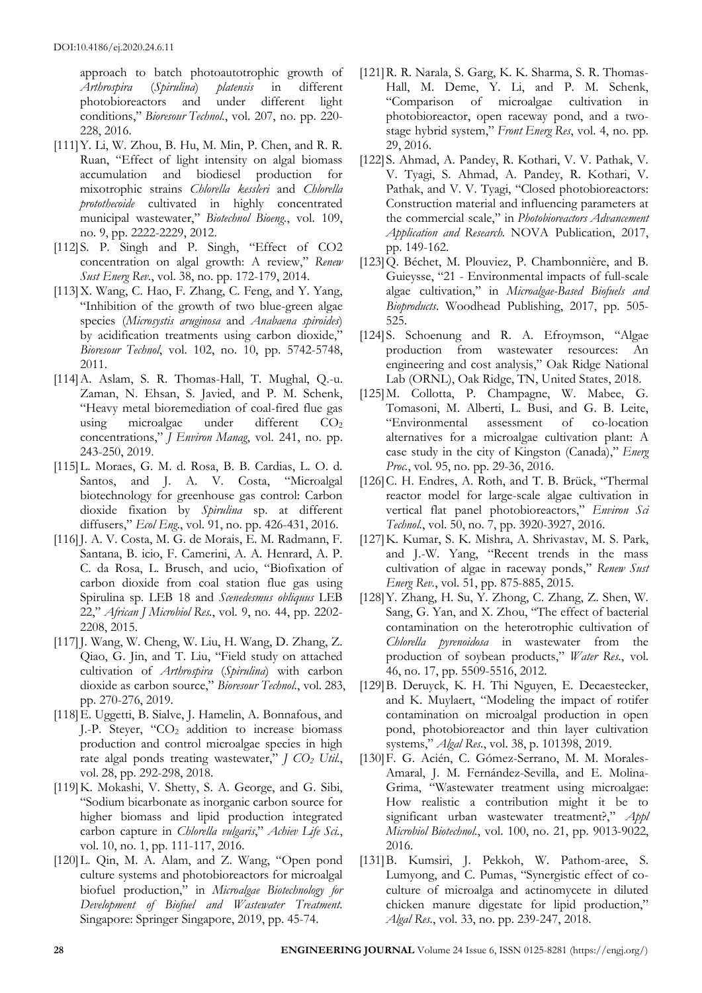approach to batch photoautotrophic growth of *Arthrospira* (*Spirulina*) *platensis* in different photobioreactors and under different light conditions," *Bioresour Technol.*, vol. 207, no. pp. 220- 228, 2016.

- [111]Y. Li, W. Zhou, B. Hu, M. Min, P. Chen, and R. R. Ruan, "Effect of light intensity on algal biomass accumulation and biodiesel production for mixotrophic strains *Chlorella kessleri* and *Chlorella protothecoide* cultivated in highly concentrated municipal wastewater," *Biotechnol Bioeng.*, vol. 109, no. 9, pp. 2222-2229, 2012.
- [112]S. P. Singh and P. Singh, "Effect of CO2 concentration on algal growth: A review," *Renew Sust Energ Rev.*, vol. 38, no. pp. 172-179, 2014.
- [113]X. Wang, C. Hao, F. Zhang, C. Feng, and Y. Yang, "Inhibition of the growth of two blue-green algae species (*Microsystis aruginosa* and *Anabaena spiroides*) by acidification treatments using carbon dioxide," *Bioresour Technol*, vol. 102, no. 10, pp. 5742-5748, 2011.
- [114]A. Aslam, S. R. Thomas-Hall, T. Mughal, Q.-u. Zaman, N. Ehsan, S. Javied, and P. M. Schenk, "Heavy metal bioremediation of coal-fired flue gas using microalgae under different  $CO<sub>2</sub>$ concentrations," *J Environ Manag*, vol. 241, no. pp. 243-250, 2019.
- [115]L. Moraes, G. M. d. Rosa, B. B. Cardias, L. O. d. Santos, and J. A. V. Costa, "Microalgal biotechnology for greenhouse gas control: Carbon dioxide fixation by *Spirulina* sp. at different diffusers," *Ecol Eng.*, vol. 91, no. pp. 426-431, 2016.
- [116] J. A. V. Costa, M. G. de Morais, E. M. Radmann, F. Santana, B. icio, F. Camerini, A. A. Henrard, A. P. C. da Rosa, L. Brusch, and ucio, "Biofixation of carbon dioxide from coal station flue gas using Spirulina sp. LEB 18 and *Scenedesmus obliquus* LEB 22," *African J Microbiol Res.*, vol. 9, no. 44, pp. 2202- 2208, 2015.
- [117] J. Wang, W. Cheng, W. Liu, H. Wang, D. Zhang, Z. Qiao, G. Jin, and T. Liu, "Field study on attached cultivation of *Arthrospira* (*Spirulina*) with carbon dioxide as carbon source," *Bioresour Technol.*, vol. 283, pp. 270-276, 2019.
- [118]E. Uggetti, B. Sialve, J. Hamelin, A. Bonnafous, and J.-P. Steyer, " $CO<sub>2</sub>$  addition to increase biomass production and control microalgae species in high rate algal ponds treating wastewater," *J CO<sup>2</sup> Util.*, vol. 28, pp. 292-298, 2018.
- [119]K. Mokashi, V. Shetty, S. A. George, and G. Sibi, "Sodium bicarbonate as inorganic carbon source for higher biomass and lipid production integrated carbon capture in *Chlorella vulgaris*," *Achiev Life Sci.*, vol. 10, no. 1, pp. 111-117, 2016.
- [120]L. Qin, M. A. Alam, and Z. Wang, "Open pond culture systems and photobioreactors for microalgal biofuel production," in *Microalgae Biotechnology for Development of Biofuel and Wastewater Treatment.* Singapore: Springer Singapore, 2019, pp. 45-74.
- [121]R. R. Narala, S. Garg, K. K. Sharma, S. R. Thomas-Hall, M. Deme, Y. Li, and P. M. Schenk, "Comparison of microalgae cultivation in photobioreactor, open raceway pond, and a twostage hybrid system," *Front Energ Res*, vol. 4, no. pp. 29, 2016.
- [122]S. Ahmad, A. Pandey, R. Kothari, V. V. Pathak, V. V. Tyagi, S. Ahmad, A. Pandey, R. Kothari, V. Pathak, and V. V. Tyagi, "Closed photobioreactors: Construction material and influencing parameters at the commercial scale," in *Photobioreactors Advancement Application and Research.* NOVA Publication, 2017, pp. 149-162.
- [123]Q. Béchet, M. Plouviez, P. Chambonnière, and B. Guieysse, "21 - Environmental impacts of full-scale algae cultivation," in *Microalgae-Based Biofuels and Bioproducts*. Woodhead Publishing, 2017, pp. 505- 525.
- [124]S. Schoenung and R. A. Efroymson, "Algae production from wastewater resources: An engineering and cost analysis," Oak Ridge National Lab (ORNL), Oak Ridge, TN, United States, 2018.
- [125]M. Collotta, P. Champagne, W. Mabee, G. Tomasoni, M. Alberti, L. Busi, and G. B. Leite, "Environmental assessment of co-location alternatives for a microalgae cultivation plant: A case study in the city of Kingston (Canada)," *Energ Proc.*, vol. 95, no. pp. 29-36, 2016.
- [126] C. H. Endres, A. Roth, and T. B. Brück, "Thermal reactor model for large-scale algae cultivation in vertical flat panel photobioreactors," *Environ Sci Technol.*, vol. 50, no. 7, pp. 3920-3927, 2016.
- [127]K. Kumar, S. K. Mishra, A. Shrivastav, M. S. Park, and J.-W. Yang, "Recent trends in the mass cultivation of algae in raceway ponds," *Renew Sust Energ Rev.*, vol. 51, pp. 875-885, 2015.
- [128]Y. Zhang, H. Su, Y. Zhong, C. Zhang, Z. Shen, W. Sang, G. Yan, and X. Zhou, "The effect of bacterial contamination on the heterotrophic cultivation of *Chlorella pyrenoidosa* in wastewater from the production of soybean products," *Water Res.*, vol. 46, no. 17, pp. 5509-5516, 2012.
- [129]B. Deruyck, K. H. Thi Nguyen, E. Decaestecker, and K. Muylaert, "Modeling the impact of rotifer contamination on microalgal production in open pond, photobioreactor and thin layer cultivation systems," *Algal Res.*, vol. 38, p. 101398, 2019.
- [130]F. G. Acién, C. Gómez-Serrano, M. M. Morales-Amaral, J. M. Fernández-Sevilla, and E. Molina-Grima, "Wastewater treatment using microalgae: How realistic a contribution might it be to significant urban wastewater treatment?," *Appl Microbiol Biotechnol.*, vol. 100, no. 21, pp. 9013-9022, 2016.
- [131]B. Kumsiri, J. Pekkoh, W. Pathom-aree, S. Lumyong, and C. Pumas, "Synergistic effect of coculture of microalga and actinomycete in diluted chicken manure digestate for lipid production," *Algal Res.*, vol. 33, no. pp. 239-247, 2018.